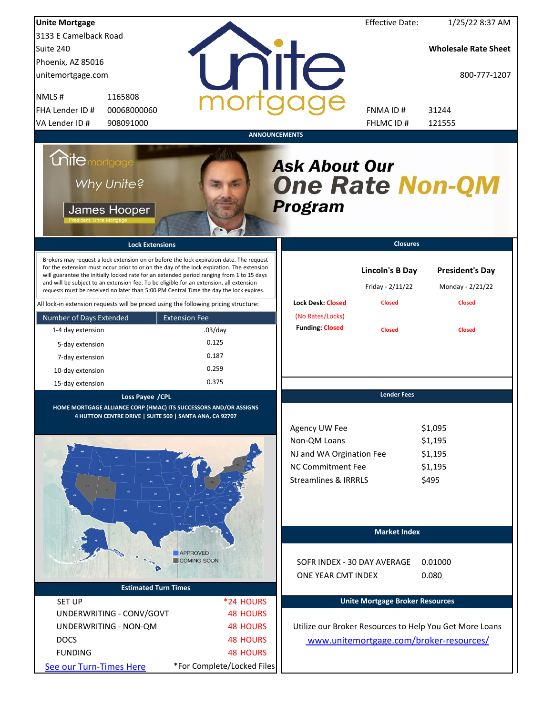| <b>Unite Mortgage</b>                                                                                                                                                                                                                                                                                                                                                                                                                                                                                                                                          |                                       |                                                                                                                          | <b>Effective Date:</b>                                      | 1/25/22 8:37 AM                                             |
|----------------------------------------------------------------------------------------------------------------------------------------------------------------------------------------------------------------------------------------------------------------------------------------------------------------------------------------------------------------------------------------------------------------------------------------------------------------------------------------------------------------------------------------------------------------|---------------------------------------|--------------------------------------------------------------------------------------------------------------------------|-------------------------------------------------------------|-------------------------------------------------------------|
| 3133 E Camelback Road                                                                                                                                                                                                                                                                                                                                                                                                                                                                                                                                          |                                       |                                                                                                                          |                                                             |                                                             |
| Suite 240                                                                                                                                                                                                                                                                                                                                                                                                                                                                                                                                                      |                                       |                                                                                                                          |                                                             | <b>Wholesale Rate Sheet</b>                                 |
| Phoenix, AZ 85016                                                                                                                                                                                                                                                                                                                                                                                                                                                                                                                                              |                                       |                                                                                                                          |                                                             |                                                             |
| unitemortgage.com                                                                                                                                                                                                                                                                                                                                                                                                                                                                                                                                              |                                       | <b>IITE</b>                                                                                                              |                                                             | 800-777-1207                                                |
| 1165808<br>NMLS#                                                                                                                                                                                                                                                                                                                                                                                                                                                                                                                                               |                                       |                                                                                                                          |                                                             |                                                             |
| 00068000060<br>FHA Lender ID #                                                                                                                                                                                                                                                                                                                                                                                                                                                                                                                                 |                                       |                                                                                                                          | FNMA ID#                                                    | 31244                                                       |
| VA Lender ID #<br>908091000                                                                                                                                                                                                                                                                                                                                                                                                                                                                                                                                    |                                       |                                                                                                                          | FHLMC ID#                                                   | 121555                                                      |
|                                                                                                                                                                                                                                                                                                                                                                                                                                                                                                                                                                |                                       | <b>ANNOUNCEMENTS</b>                                                                                                     |                                                             |                                                             |
| <i><b>Unitemortgage</b></i><br>Why Unite?<br>James Hooper                                                                                                                                                                                                                                                                                                                                                                                                                                                                                                      |                                       | <b>Ask About Our</b><br><b>One Rate Non-QM</b><br>Program                                                                |                                                             |                                                             |
| <b>Lock Extensions</b>                                                                                                                                                                                                                                                                                                                                                                                                                                                                                                                                         |                                       |                                                                                                                          | <b>Closures</b>                                             |                                                             |
| Brokers may request a lock extension on or before the lock expiration date. The request<br>for the extension must occur prior to or on the day of the lock expiration. The extension<br>will guarantee the initially locked rate for an extended period ranging from 1 to 15 days<br>and will be subject to an extension fee. To be eligible for an extension, all extension<br>requests must be received no later than 5:00 PM Central Time the day the lock expires.<br>All lock-in extension requests will be priced using the following pricing structure: |                                       | <b>Lock Desk: Closed</b>                                                                                                 | <b>Lincoln's B Day</b><br>Friday - 2/11/22<br><b>Closed</b> | <b>President's Day</b><br>Monday - 2/21/22<br><b>Closed</b> |
| Number of Days Extended                                                                                                                                                                                                                                                                                                                                                                                                                                                                                                                                        | <b>Extension Fee</b>                  | (No Rates/Locks)                                                                                                         |                                                             |                                                             |
| 1-4 day extension                                                                                                                                                                                                                                                                                                                                                                                                                                                                                                                                              | $.03$ /day                            | <b>Funding: Closed</b>                                                                                                   | <b>Closed</b>                                               | <b>Closed</b>                                               |
| 5-day extension                                                                                                                                                                                                                                                                                                                                                                                                                                                                                                                                                | 0.125                                 |                                                                                                                          |                                                             |                                                             |
| 7-day extension                                                                                                                                                                                                                                                                                                                                                                                                                                                                                                                                                | 0.187                                 |                                                                                                                          |                                                             |                                                             |
|                                                                                                                                                                                                                                                                                                                                                                                                                                                                                                                                                                | 0.259                                 |                                                                                                                          |                                                             |                                                             |
| 10-day extension                                                                                                                                                                                                                                                                                                                                                                                                                                                                                                                                               | 0.375                                 |                                                                                                                          |                                                             |                                                             |
| 15-day extension<br>Loss Payee /CPL                                                                                                                                                                                                                                                                                                                                                                                                                                                                                                                            |                                       |                                                                                                                          | <b>Lender Fees</b>                                          |                                                             |
| HOME MORTGAGE ALLIANCE CORP (HMAC) ITS SUCCESSORS AND/OR ASSIGNS<br>4 HUTTON CENTRE DRIVE   SUITE 500   SANTA ANA, CA 92707                                                                                                                                                                                                                                                                                                                                                                                                                                    |                                       | Agency UW Fee<br>Non-QM Loans<br>NJ and WA Orgination Fee<br><b>NC Commitment Fee</b><br><b>Streamlines &amp; IRRRLS</b> |                                                             | \$1,095<br>\$1,195<br>\$1,195<br>\$1,195<br>\$495           |
|                                                                                                                                                                                                                                                                                                                                                                                                                                                                                                                                                                |                                       |                                                                                                                          | <b>Market Index</b>                                         |                                                             |
| <b>Estimated Turn Times</b>                                                                                                                                                                                                                                                                                                                                                                                                                                                                                                                                    | <b>APPROVED</b><br><b>COMING SOON</b> | SOFR INDEX - 30 DAY AVERAGE<br>ONE YEAR CMT INDEX                                                                        |                                                             | 0.01000<br>0.080                                            |
|                                                                                                                                                                                                                                                                                                                                                                                                                                                                                                                                                                |                                       |                                                                                                                          | <b>Unite Mortgage Broker Resources</b>                      |                                                             |
| <b>SET UP</b><br>UNDERWRITING - CONV/GOVT                                                                                                                                                                                                                                                                                                                                                                                                                                                                                                                      | *24 HOURS<br><b>48 HOURS</b>          |                                                                                                                          |                                                             |                                                             |
|                                                                                                                                                                                                                                                                                                                                                                                                                                                                                                                                                                |                                       |                                                                                                                          |                                                             |                                                             |
| UNDERWRITING - NON-QM                                                                                                                                                                                                                                                                                                                                                                                                                                                                                                                                          | <b>48 HOURS</b>                       |                                                                                                                          |                                                             | Utilize our Broker Resources to Help You Get More Loans     |
| <b>DOCS</b>                                                                                                                                                                                                                                                                                                                                                                                                                                                                                                                                                    | <b>48 HOURS</b>                       |                                                                                                                          |                                                             | www.unitemortgage.com/broker-resources/                     |
| <b>FUNDING</b>                                                                                                                                                                                                                                                                                                                                                                                                                                                                                                                                                 | <b>48 HOURS</b>                       |                                                                                                                          |                                                             |                                                             |
| See our Turn-Times Here                                                                                                                                                                                                                                                                                                                                                                                                                                                                                                                                        | *For Complete/Locked Files            |                                                                                                                          |                                                             |                                                             |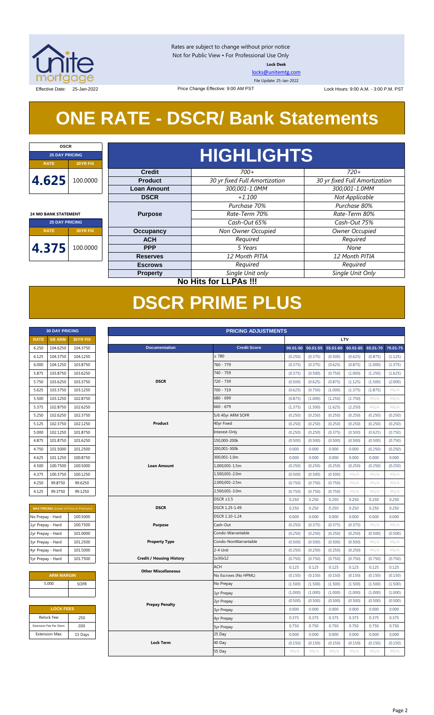

Rates are subject to change without prior notice Not for Public View • For Professional Use Only **Lock Desk**

[locks@unitemtg.com](mailto:locks@unitemtg.com)

File Update: 25-Jan-2022

Effective Date: 25-Jan-2022 2 Price Change Effective: 9:00 AM PST Lock Hours: 9:00 A.M. - 3:00 P.M. PST

# **ONE RATE - DSCR/ Bank Statements**

Price Change Effective: 9:00 AM PST

| <b>DSCR</b>                 |          |  |  |  |  |
|-----------------------------|----------|--|--|--|--|
| <b>25 DAY PRICING</b>       |          |  |  |  |  |
| <b>RATE</b>                 | 30YR FIX |  |  |  |  |
| 4.625<br>100.0000           |          |  |  |  |  |
| <b>24 MO BANK STATEMENT</b> |          |  |  |  |  |
| <b>25 DAY PRICING</b>       |          |  |  |  |  |
| <b>RATE</b><br>30YR FIX     |          |  |  |  |  |
|                             |          |  |  |  |  |

Prod

|               | HIGHLIGHTS                    |                               |
|---------------|-------------------------------|-------------------------------|
| <b>Credit</b> | $700+$                        | $720+$                        |
| roduct        | 30 yr fixed Full Amortization | 30 yr fixed Full Amortization |
| n Amount      | 300,001-1.0MM                 | 300,001-1.0MM                 |
| <b>DSCR</b>   | $+1.100$                      | Not Applicable                |
|               | Purchase 70%                  | Purchase 80%                  |
| urpose        | Rate-Term 70%                 | Rate-Term 80%                 |
|               |                               |                               |

# **4.375** 100.0000

| <b>Loan Amount</b> | 300,001-1.0MM                | 300,001-1.0MM         |  |  |
|--------------------|------------------------------|-----------------------|--|--|
| <b>DSCR</b>        | $+1.100$                     | Not Applicable        |  |  |
|                    | Purchase 70%                 | Purchase 80%          |  |  |
| <b>Purpose</b>     | Rate-Term 70%                | Rate-Term 80%         |  |  |
|                    | Cash-Out 65%                 | Cash-Out 75%          |  |  |
| <b>Occupancy</b>   | Non Owner Occupied           | <b>Owner Occupied</b> |  |  |
| <b>ACH</b>         | Required                     | Required              |  |  |
| <b>PPP</b>         | 5 Years                      | None                  |  |  |
| <b>Reserves</b>    | 12 Month PITIA               | 12 Month PITIA        |  |  |
| <b>Escrows</b>     | Required                     | Required              |  |  |
| <b>Property</b>    | Single Unit only             | Single Unit Only      |  |  |
|                    | <b>No Hits for LLPAs !!!</b> |                       |  |  |

# **DSCR PRIME PLUS**

|                   | <b>30 DAY PRICING</b>   |                                                |  | <b>PRICING ADJUSTMENTS</b>      |                      |         |                   |          |            |          |          |
|-------------------|-------------------------|------------------------------------------------|--|---------------------------------|----------------------|---------|-------------------|----------|------------|----------|----------|
| <b>RATE</b>       | <b>5/6 ARM</b>          | 30YR FIX                                       |  |                                 |                      |         |                   |          | <b>LTV</b> |          |          |
| 6.250             | 104.6250                | 104.3750                                       |  | <b>Documentation</b>            | <b>Credit Score</b>  |         | 00.01-50 50.01-55 | 55.01-60 | 60.01-65   | 65.01-70 | 70.01-75 |
| 6.125             | 104.3750                | 104.1250                                       |  |                                 | $\geq 780$           | (0.250) | (0.375)           | (0.500)  | (0.625)    | (0.875)  | (1.125)  |
| 6.000             | 104.1250                | 103.8750                                       |  |                                 | 760 - 779            | (0.375) | (0.375)           | (0.625)  | (0.875)    | (1.000)  | (1.375)  |
| 5.875             | 103.8750                | 103.6250                                       |  |                                 | 740 - 759            | (0.375) | (0.500)           | (0.750)  | (1.000)    | (1.250)  | (1.625)  |
| 5.750             | 103.6250                | 103.3750                                       |  | <b>DSCR</b>                     | 720 - 739            | (0.500) | (0.625)           | (0.875)  | (1.125)    | (1.500)  | (2.000)  |
| 5.625             | 103.3750                | 103.1250                                       |  |                                 | 700 - 719            | (0.625) | (0.750)           | (1.000)  | (1.375)    | (1.875)  | #N/A     |
| 5.500             | 103.1250                | 102.8750                                       |  |                                 | 680 - 699            | (0.875) | (1.000)           | (1.250)  | (1.750)    | #N/A     | #N/A     |
| 5.375             | 102.8750                | 102.6250                                       |  |                                 | $660 - 679$          | (1.375) | (1.500)           | (1.625)  | (2.250)    | $\#N/A$  | #N/A     |
| 5.250             | 102.6250                | 102.3750                                       |  |                                 | 5/6 40yr ARM SOFR    | (0.250) | (0.250)           | (0.250)  | (0.250)    | (0.250)  | (0.250)  |
| 5.125             | 102.3750                | 102.1250                                       |  | Product                         | 40yr Fixed           | (0.250) | (0.250)           | (0.250)  | (0.250)    | (0.250)  | (0.250)  |
| 5.000             | 102.1250                | 101.8750                                       |  |                                 | Interest-Only        | (0.250) | (0.250)           | (0.375)  | (0.500)    | (0.625)  | (0.750)  |
| 4.875             | 101.8750                | 101.6250                                       |  |                                 | 150,000-200k         | (0.500) | (0.500)           | (0.500)  | (0.500)    | (0.500)  | (0.750)  |
| 4.750             | 101.5000                | 101.2500                                       |  |                                 | 200,001-300k         | 0.000   | 0.000             | 0.000    | 0.000      | (0.250)  | (0.250)  |
| 4.625             | 101.1250                | 100.8750                                       |  |                                 | 300,001-1.0m         | 0.000   | 0.000             | 0.000    | 0.000      | 0.000    | 0.000    |
| 4.500             | 100.7500                | 100.5000                                       |  | <b>Loan Amount</b>              | 1,000,001-1.5m       | (0.250) | (0.250)           | (0.250)  | (0.250)    | (0.250)  | (0.250)  |
| 4.375             | 100.3750                | 100.1250                                       |  |                                 | 1,500,001-2.0m       | (0.500) | (0.500)           | (0.500)  | #N/A       | #N/A     | #N/A     |
| 4.250             | 99.8750                 | 99.6250                                        |  |                                 | 2,000,001-2.5m       | (0.750) | (0.750)           | (0.750)  | #N/A       | #N/A     | #N/A     |
| 4.125             | 99.3750                 | 99.1250                                        |  |                                 | 2,500,001-3.0m       | (0.750) | (0.750)           | (0.750)  | #N/A       | #N/A     | #N/A     |
|                   |                         |                                                |  |                                 | $DSCR \geq 1.5$      | 0.250   | 0.250             | 0.250    | 0.250      | 0.250    | 0.250    |
|                   |                         | <b>MAX PRICING</b> (Lower of Price or Premium) |  | <b>DSCR</b>                     | DSCR 1.25-1.49       | 0.250   | 0.250             | 0.250    | 0.250      | 0.250    | 0.250    |
| No Prepay - Hard  |                         | 100.5000                                       |  |                                 | DSCR 1.10-1.24       | 0.000   | 0.000             | 0.000    | 0.000      | 0.000    | 0.000    |
| 1yr Prepay - Hard |                         | 100.7500                                       |  | <b>Purpose</b>                  | Cash-Out             | (0.250) | (0.375)           | (0.375)  | (0.375)    | #N/A     | #N/A     |
| 2yr Prepay - Hard |                         | 101.0000                                       |  |                                 | Condo-Warrantable    | (0.250) | (0.250)           | (0.250)  | (0.250)    | (0.500)  | (0.500)  |
| 3yr Prepay - Hard |                         | 101.2500                                       |  | <b>Property Type</b>            | Condo-NonWarrantable | (0.500) | (0.500)           | (0.500)  | (0.500)    | $\#N/A$  | $\#N/A$  |
| 4yr Prepay - Hard |                         | 101.5000                                       |  |                                 | 2-4 Unit             | (0.250) | (0.250)           | (0.250)  | (0.250)    | $\#N/A$  | #N/A     |
| 5yr Prepay - Hard |                         | 101.7500                                       |  | <b>Credit / Housing History</b> | 1x30x12              | (0.750) | (0.750)           | (0.750)  | (0.750)    | (0.750)  | (0.750)  |
|                   |                         |                                                |  | <b>Other Miscellaneous</b>      | <b>ACH</b>           | 0.125   | 0.125             | 0.125    | 0.125      | 0.125    | 0.125    |
|                   | <b>ARM MARGIN</b>       |                                                |  |                                 | No Escrows (No HPML) | (0.150) | (0.150)           | (0.150)  | (0.150)    | (0.150)  | (0.150)  |
|                   | 5.000                   | SOFR                                           |  |                                 | No Prepay            | (1.500) | (1.500)           | (1.500)  | (1.500)    | (1.500)  | (1.500)  |
|                   |                         |                                                |  |                                 | 1yr Prepay           | (1.000) | (1.000)           | (1.000)  | (1.000)    | (1.000)  | (1.000)  |
|                   |                         |                                                |  |                                 | 2yr Prepay           | (0.500) | (0.500)           | (0.500)  | (0.500)    | (0.500)  | (0.500)  |
|                   | <b>LOCK FEES</b>        |                                                |  | <b>Prepay Penalty</b>           | <b>3yr Prepay</b>    | 0.000   | 0.000             | 0.000    | 0.000      | 0.000    | 0.000    |
|                   | Relock Fee:             | .250                                           |  |                                 | 4yr Prepay           | 0.375   | 0.375             | 0.375    | 0.375      | 0.375    | 0.375    |
|                   | Extension Fee Per Diem: | .030                                           |  |                                 | 5yr Prepay           | 0.750   | 0.750             | 0.750    | 0.750      | 0.750    | 0.750    |
|                   | <b>Extension Max:</b>   | 15 Days                                        |  |                                 | 25 Day               | 0.000   | 0.000             | 0.000    | 0.000      | 0.000    | 0.000    |
|                   |                         |                                                |  | <b>Lock Term</b>                | 40 Day               | (0.150) | (0.150)           | (0.150)  | (0.150)    | (0.150)  | (0.150)  |
|                   |                         |                                                |  |                                 | 55 Day               | $\#N/A$ | $\#N/A$           | $\#N/A$  | #N/A       | $\#N/A$  | $\#N/A$  |
|                   |                         |                                                |  |                                 |                      |         |                   |          |            |          |          |

| <b>RATE</b> | <b>5/6 ARM</b> | <b>30YR FIX</b> |
|-------------|----------------|-----------------|
| 6.250       | 104.6250       | 104.3750        |
| 6.125       | 104.3750       | 104.1250        |
| 6.000       | 104.1250       | 103.8750        |
| 5.875       | 103.8750       | 103.6250        |
| 5.750       | 103.6250       | 103.3750        |
| 5.625       | 103.3750       | 103.1250        |
| 5.500       | 103.1250       | 102.8750        |
| 5.375       | 102.8750       | 102.6250        |
| 5.250       | 102.6250       | 102.3750        |
| 5.125       | 102.3750       | 102.1250        |
| 5.000       | 102.1250       | 101.8750        |
| 4.875       | 101.8750       | 101.6250        |
| 4.750       | 101.5000       | 101.2500        |
| 4.625       | 101.1250       | 100.8750        |
| 4.500       | 100.7500       | 100.5000        |
| 4.375       | 100.3750       | 100.1250        |
| 4.250       | 99.8750        | 99.6250         |
| 4125        | 993750         | 99 1 2 5 0      |

| <b>MAX PRICING</b> (Lower of Price or Premium) |          |  |  |
|------------------------------------------------|----------|--|--|
| No Prepay - Hard                               | 100.5000 |  |  |
| 1yr Prepay - Hard                              | 100.7500 |  |  |
| 2yr Prepay - Hard                              | 101.0000 |  |  |
| 3yr Prepay - Hard                              | 101.2500 |  |  |
| 4yr Prepay - Hard                              | 101.5000 |  |  |
| 5yr Prepay - Hard                              | 101.7500 |  |  |

| <b>ARM MARGIN</b> |             |  |
|-------------------|-------------|--|
| 5.000             | <b>SOFR</b> |  |
|                   |             |  |
|                   |             |  |

| <b>LOCK FEES</b>        |         |  |  |
|-------------------------|---------|--|--|
| Relock Fee:             | .250    |  |  |
| Extension Fee Per Diem: | .030    |  |  |
| <b>Extension Max:</b>   | 15 Days |  |  |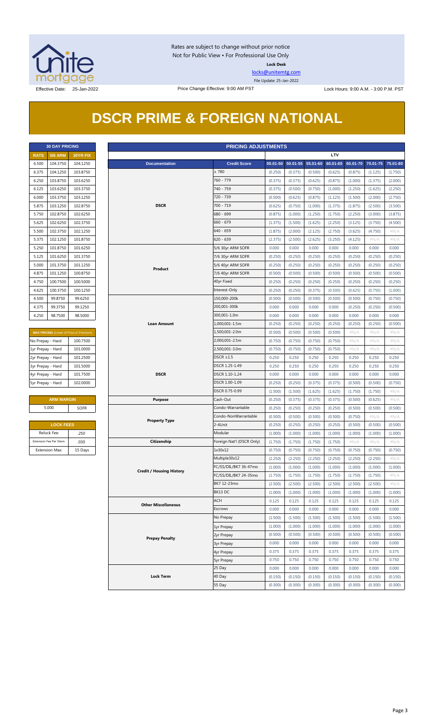

Rates are subject to change without prior notice Not for Public View • For Professional Use Only **Lock Desk**

[locks@unitemtg.com](mailto:locks@unitemtg.com)

File Update: 25-Jan-2022

Effective Date: 25-Jan-2022 Price Change Effective: 9:00 AM PST Lock Hours: 9:00 A.M. - 3:00 P.M. PST

## **DSCR PRIME & FOREIGN NATIONAL**

|             | <b>30 DAY PRICING</b> |                 |  |  |  |
|-------------|-----------------------|-----------------|--|--|--|
| <b>RATE</b> | <b>5/6 ARM</b>        | <b>30YR FIX</b> |  |  |  |
| 6.500       | 104.3750              | 104.1250        |  |  |  |
| 6.375       | 104.1250              | 103.8750        |  |  |  |
| 6.250       | 103.8750              | 103.6250        |  |  |  |
| 6.125       | 103.6250              | 103.3750        |  |  |  |
| 6.000       | 103.3750              | 103.1250        |  |  |  |
| 5.875       | 103.1250              | 102.8750        |  |  |  |
| 5.750       | 102.8750              | 102.6250        |  |  |  |
| 5.625       | 102.6250              | 102.3750        |  |  |  |
| 5.500       | 102.3750              | 102.1250        |  |  |  |
| 5.375       | 102.1250              | 101.8750        |  |  |  |
| 5.250       | 101.8750              | 101.6250        |  |  |  |
| 5.125       | 101.6250              | 101.3750        |  |  |  |
| 5.000       | 101.3750              | 101.1250        |  |  |  |
| 4.875       | 101.1250              | 100.8750        |  |  |  |
| 4.750       | 100.7500              | 100.5000        |  |  |  |
| 4.625       | 100.3750              | 100.1250        |  |  |  |
| 4.500       | 99.8750               | 99.6250         |  |  |  |
| 4.375       | 99.3750               | 99.1250         |  |  |  |
| 4.250       | 98.7500               | 98.5000         |  |  |  |

| <b>MAX PRICING (Lower of Price or Premium)</b> |          |  |  |
|------------------------------------------------|----------|--|--|
| No Prepay - Hard                               | 100.7500 |  |  |
| 1yr Prepay - Hard                              | 101.0000 |  |  |
| 2yr Prepay - Hard                              | 101.2500 |  |  |
| 3yr Prepay - Hard                              | 101.5000 |  |  |
| 4yr Prepay - Hard                              | 101.7500 |  |  |
| 5yr Prepay - Hard                              | 102.0000 |  |  |

| <b>ARM MARGIN</b> |             |  |  |
|-------------------|-------------|--|--|
| 5.000             | <b>SOFR</b> |  |  |

| <b>LOCK FEES</b>        |         |
|-------------------------|---------|
| Relock Fee:             | .250    |
| Extension Fee Per Diem: | .030    |
| <b>Extension Max:</b>   | 15 Days |

|                                           | <b>30 DAY PRICING</b>   |                                         |                                 | <b>PRICING ADJUSTMENTS</b>    |         |                   |          |            |          |          |          |
|-------------------------------------------|-------------------------|-----------------------------------------|---------------------------------|-------------------------------|---------|-------------------|----------|------------|----------|----------|----------|
| <b>5/6 ARM</b><br><b>RATE</b><br>30YR FIX |                         |                                         |                                 |                               |         |                   |          | <b>LTV</b> |          |          |          |
| 6.500                                     | 104.3750                | 104.1250                                | <b>Documentation</b>            | <b>Credit Score</b>           |         | 00.01-50 50.01-55 | 55.01-60 | 60.01-65   | 65.01-70 | 70.01-75 | 75.01-80 |
| 6.375                                     | 104.1250                | 103.8750                                |                                 | $\geq 780$                    | (0.250) | (0.375)           | (0.500)  | (0.625)    | (0.875)  | (1.125)  | (1.750)  |
| 6.250                                     | 103.8750                | 103.6250                                |                                 | 760 - 779                     | (0.375) | (0.375)           | (0.625)  | (0.875)    | (1.000)  | (1.375)  | (2.000)  |
| 6.125                                     | 103.6250                | 103.3750                                |                                 | 740 - 759                     | (0.375) | (0.500)           | (0.750)  | (1.000)    | (1.250)  | (1.625)  | (2.250)  |
| 6.000                                     | 103.3750                | 103.1250                                |                                 | 720 - 739                     | (0.500) | (0.625)           | (0.875)  | (1.125)    | (1.500)  | (2.000)  | (2.750)  |
| 5.875                                     | 103.1250                | 102.8750                                | <b>DSCR</b>                     | $700 - 719$                   | (0.625) | (0.750)           | (1.000)  | (1.375)    | (1.875)  | (2.500)  | (3.500)  |
| 5.750                                     | 102.8750                | 102.6250                                |                                 | 680 - 699                     | (0.875) | (1.000)           | (1.250)  | (1.750)    | (2.250)  | (3.000)  | (3.875)  |
| 5.625                                     | 102.6250                | 102.3750                                |                                 | $660 - 679$                   | (1.375) | (1.500)           | (1.625)  | (2.250)    | (3.125)  | (3.750)  | (4.500)  |
| 5.500                                     | 102.3750                | 102.1250                                |                                 | $640 - 659$                   | (1.875) | (2.000)           | (2.125)  | (2.750)    | (3.625)  | (4.750)  | $\#N/A$  |
| 5.375                                     | 102.1250                | 101.8750                                |                                 | $620 - 639$                   | (2.375) | (2.500)           | (2.625)  | (3.250)    | (4.125)  | #N/A     | $\#N/A$  |
| 5.250                                     | 101.8750                | 101.6250                                |                                 | 5/6 30yr ARM SOFR             | 0.000   | 0.000             | 0.000    | 0.000      | 0.000    | 0.000    | 0.000    |
| 5.125                                     | 101.6250                | 101.3750                                |                                 | 7/6 30yr ARM SOFR             | (0.250) | (0.250)           | (0.250)  | (0.250)    | (0.250)  | (0.250)  | (0.250)  |
|                                           | 101.3750                | 101.1250                                |                                 |                               | (0.250) |                   | (0.250)  | (0.250)    | (0.250)  |          | (0.250)  |
| 5.000                                     |                         | 100.8750                                | Product                         | 5/6 40yr ARM SOFR             |         | (0.250)           |          |            |          | (0.250)  |          |
| 4.875                                     | 101.1250                |                                         |                                 | 7/6 40yr ARM SOFR             | (0.500) | (0.500)           | (0.500)  | (0.500)    | (0.500)  | (0.500)  | (0.500)  |
| 4.750                                     | 100.7500                | 100.5000                                |                                 | 40yr Fixed                    | (0.250) | (0.250)           | (0.250)  | (0.250)    | (0.250)  | (0.250)  | (0.250)  |
| 4.625                                     | 100.3750                | 100.1250                                |                                 | Interest-Only<br>150,000-200k | (0.250) | (0.250)           | (0.375)  | (0.500)    | (0.625)  | (0.750)  | (1.000)  |
| 4.500                                     | 99.8750                 | 99.6250                                 |                                 |                               | (0.500) | (0.500)           | (0.500)  | (0.500)    | (0.500)  | (0.750)  | (0.750)  |
| 4.375                                     | 99.3750                 | 99.1250                                 |                                 | 200,001-300k                  | 0.000   | 0.000             | 0.000    | 0.000      | (0.250)  | (0.250)  | (0.500)  |
| 4.250                                     | 98.7500                 | 98.5000                                 |                                 | 300,001-1.0m                  | 0.000   | 0.000             | 0.000    | 0.000      | 0.000    | 0.000    | 0.000    |
|                                           |                         |                                         | <b>Loan Amount</b>              | 1,000,001-1.5m                | (0.250) | (0.250)           | (0.250)  | (0.250)    | (0.250)  | (0.250)  | (0.500)  |
|                                           |                         | MAX PRICING (Lower of Price or Premium) |                                 | 1,500,001-2.0m                | (0.500) | (0.500)           | (0.500)  | (0.500)    | $\#N/A$  | $\#N/A$  | $\#N/A$  |
| No Prepay - Hard                          |                         | 100.7500                                |                                 | 2,000,001-2.5m                | (0.750) | (0.750)           | (0.750)  | (0.750)    | $\#N/A$  | $\#N/A$  | # $N/A$  |
| 1yr Prepay - Hard                         |                         | 101.0000                                |                                 | 2,500,001-3.0m                | (0.750) | (0.750)           | (0.750)  | (0.750)    | $\#N/A$  | $\#N/A$  | $\#N/A$  |
| 2yr Prepay - Hard                         |                         | 101.2500                                |                                 | $DSCR \geq 1.5$               | 0.250   | 0.250             | 0.250    | 0.250      | 0.250    | 0.250    | 0.250    |
| 3yr Prepay - Hard                         |                         | 101.5000                                |                                 | DSCR 1.25-1.49                | 0.250   | 0.250             | 0.250    | 0.250      | 0.250    | 0.250    | 0.250    |
| 4yr Prepay - Hard                         |                         | 101.7500                                | <b>DSCR</b>                     | DSCR 1.10-1.24                | 0.000   | 0.000             | 0.000    | 0.000      | 0.000    | 0.000    | 0.000    |
| 5yr Prepay - Hard                         |                         | 102.0000                                |                                 | DSCR 1.00-1.09                | (0.250) | (0.250)           | (0.375)  | (0.375)    | (0.500)  | (0.500)  | (0.750)  |
|                                           |                         |                                         |                                 | DSCR 0.75-0.99                | (1.500) | (1.500)           | (1.625)  | (1.625)    | (1.750)  | (1.750)  | $\#N/A$  |
|                                           | <b>ARM MARGIN</b>       |                                         | <b>Purpose</b>                  | Cash-Out                      | (0.250) | (0.375)           | (0.375)  | (0.375)    | (0.500)  | (0.625)  | $\#N/A$  |
|                                           | 5.000                   | SOFR                                    |                                 | Condo-Warrantable             | (0.250) | (0.250)           | (0.250)  | (0.250)    | (0.500)  | (0.500)  | (0.500)  |
|                                           |                         |                                         | <b>Property Type</b>            | Condo-NonWarrantable          | (0.500) | (0.500)           | (0.500)  | (0.500)    | (0.750)  | $\#N/A$  | #N/A     |
|                                           | <b>LOCK FEES</b>        |                                         |                                 | 2-4Unit                       | (0.250) | (0.250)           | (0.250)  | (0.250)    | (0.500)  | (0.500)  | (0.500)  |
|                                           | Relock Fee:             | .250                                    |                                 | Modular                       | (1.000) | (1.000)           | (1.000)  | (1.000)    | (1.000)  | (1.000)  | (1.000)  |
|                                           | Extension Fee Per Diem: | .030                                    | Citizenship                     | Foreign Nat'l (DSCR Only)     | (1.750) | (1.750)           | (1.750)  | (1.750)    | $\#N/A$  | $\#N/A$  | $\#N/A$  |
|                                           | <b>Extension Max:</b>   | 15 Days                                 |                                 | 1x30x12                       | (0.750) | (0.750)           | (0.750)  | (0.750)    | (0.750)  | (0.750)  | (0.750)  |
|                                           |                         |                                         |                                 | Multiple30x12                 | (2.250) | (2.250)           | (2.250)  | (2.250)    | (2.250)  | (2.250)  | $\#N/A$  |
|                                           |                         |                                         | <b>Credit / Housing History</b> | FC/SS/DIL/BK7 36-47mo         | (1.000) | (1.000)           | (1.000)  | (1.000)    | (1.000)  | (1.000)  | (1.000)  |
|                                           |                         |                                         |                                 | FC/SS/DIL/BK7 24-35mo         | (1.750) | (1.750)           | (1.750)  | (1.750)    | (1.750)  | (1.750)  | #N/A     |
|                                           |                         |                                         |                                 | BK7 12-23mo                   | (2.500) | (2.500)           | (2.500)  | (2.500)    | (2.500)  | (2.500)  | $\#N/A$  |
|                                           |                         |                                         |                                 | BK13 DC                       | (1.000) | (1.000)           | (1.000)  | (1.000)    | (1.000)  | (1.000)  | (1.000)  |
|                                           |                         |                                         | <b>Other Miscellaneous</b>      | ACH                           | 0.125   | 0.125             | 0.125    | 0.125      | 0.125    | 0.125    | 0.125    |
|                                           |                         |                                         |                                 | Escrows                       | 0.000   | 0.000             | 0.000    | 0.000      | 0.000    | 0.000    | 0.000    |
|                                           |                         |                                         |                                 | No Prepay                     | (1.500) | (1.500)           | (1.500)  | (1.500)    | (1.500)  | (1.500)  | (1.500)  |
|                                           |                         |                                         |                                 | 1yr Prepay                    | (1.000) | (1.000)           | (1.000)  | (1.000)    | (1.000)  | (1.000)  | (1.000)  |
|                                           |                         |                                         |                                 | 2yr Prepay                    | (0.500) | (0.500)           | (0.500)  | (0.500)    | (0.500)  | (0.500)  | (0.500)  |
|                                           |                         |                                         | <b>Prepay Penalty</b>           | <b>3yr Prepay</b>             | 0.000   | 0.000             | 0.000    | 0.000      | 0.000    | 0.000    | 0.000    |
|                                           |                         |                                         |                                 | 4yr Prepay                    | 0.375   | 0.375             | 0.375    | 0.375      | 0.375    | 0.375    | 0.375    |
|                                           |                         |                                         |                                 | <b>5yr Prepay</b>             | 0.750   | 0.750             | 0.750    | 0.750      | 0.750    | 0.750    | 0.750    |
|                                           |                         |                                         |                                 | 25 Day                        | 0.000   | 0.000             | 0.000    | 0.000      | 0.000    | 0.000    | 0.000    |
|                                           |                         |                                         | <b>Lock Term</b>                | 40 Day                        | (0.150) | (0.150)           | (0.150)  | (0.150)    | (0.150)  | (0.150)  | (0.150)  |
|                                           |                         |                                         |                                 | 55 Day                        | (0.300) | (0.300)           | (0.300)  | (0.300)    | (0.300)  | (0.300)  | (0.300)  |
|                                           |                         |                                         |                                 |                               |         |                   |          |            |          |          |          |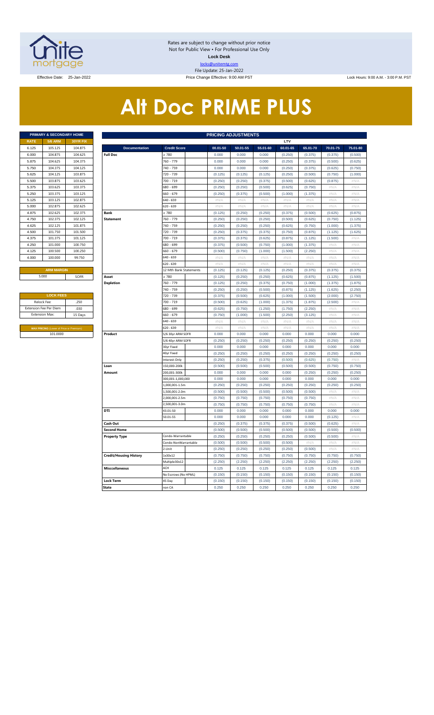

Rates are subject to change without prior notice Not for Public View • For Professional Use Only **Lock Desk** locks@unitemtg.com File Update: 25-Jan-2022 Effective Date: 25-Jan-2022 Price Change Effective: 9:00 AM PST Lock Hours: 9:00 A.M. - 3:00 P.M. PST

# **Alt Doc PRIME PLUS**

|             | PRIMARY & SECONDARY HOME |                 |
|-------------|--------------------------|-----------------|
| <b>RATE</b> | <b>5/6 ARM</b>           | <b>30YR FIX</b> |
| 6.125       | 105.125                  | 104.875         |
| 6.000       | 104.875                  | 104.625         |
| 5.875       | 104.625                  | 104.375         |
| 5.750       | 104.375                  | 104.125         |
| 5.625       | 104.125                  | 103.875         |
| 5.500       | 103.875                  | 103.625         |
| 5.375       | 103.625                  | 103.375         |
| 5.250       | 103.375                  | 103.125         |
| 5.125       | 103.125                  | 102.875         |
| 5.000       | 102.875                  | 102.625         |
| 4.875       | 102.625                  | 102.375         |
| 4.750       | 102.375                  | 102.125         |
| 4.625       | 102.125                  | 101.875         |
| 4.500       | 101.750                  | 101.500         |
| 4.375       | 101.375                  | 101.125         |
| 4.250       | 101.000                  | 100.750         |
| 4.125       | 100.500                  | 100.250         |
| 4.000       | 100.000                  | 99.750          |
|             |                          |                 |

| <b>LOCK FEES</b>                               |         |  |  |  |  |  |  |  |
|------------------------------------------------|---------|--|--|--|--|--|--|--|
| Relock Fee:                                    | .250    |  |  |  |  |  |  |  |
| <b>Extension Fee Per Diem</b>                  | .030    |  |  |  |  |  |  |  |
| <b>Extension Max:</b>                          | 15 Days |  |  |  |  |  |  |  |
|                                                |         |  |  |  |  |  |  |  |
| <b>MAX PRICING (Lower of Price or Premium)</b> |         |  |  |  |  |  |  |  |
| 101,0000                                       |         |  |  |  |  |  |  |  |

|                               | PRIMARY & SECONDARY HOME<br><b>PRICING ADJUSTMENTS</b> |          |                               |                              |                    |                    |                    |                    |                    |                    |                                |  |  |  |
|-------------------------------|--------------------------------------------------------|----------|-------------------------------|------------------------------|--------------------|--------------------|--------------------|--------------------|--------------------|--------------------|--------------------------------|--|--|--|
| RATE                          | <b>5/6 ARM</b>                                         | 30YR FIX |                               |                              |                    |                    |                    | LTV                |                    |                    |                                |  |  |  |
| 6.125                         | 105.125                                                | 104.875  | <b>Documentation</b>          | <b>Credit Score</b>          | 00.01-50           | 50.01-55           | 55.01-60           | 60.01-65           | 65.01-70           | 70.01-75           | 75.01-80                       |  |  |  |
| 6.000                         | 104.875                                                | 104.625  | <b>Full Doc</b>               | 780                          | 0.000              | 0.000              | 0.000              | (0.250)            | (0.375)            | (0.375)            | (0.500)                        |  |  |  |
| 5.875                         | 104.625                                                | 104.375  |                               | 760 - 779                    | 0.000              | 0.000              | 0.000              | (0.250)            | (0.375)            | (0.500)            | (0.625)                        |  |  |  |
| 5.750                         | 104.375                                                | 104.125  |                               | 740 - 759                    | 0.000              | 0.000              | 0.000              | (0.250)            | (0.375)            | (0.625)            | (0.750)                        |  |  |  |
| 5.625                         | 104.125                                                | 103.875  |                               | 720 - 739                    | (0.125)            | (0.125)            | (0.125)            | (0.250)            | (0.500)            | (0.750)            | (1.000)                        |  |  |  |
| 5.500                         | 103.875                                                | 103.625  |                               | 700 - 719                    | (0.250)            | (0.250)            | (0.375)            | (0.500)            | (0.625)            | (0.875)            | #N/A                           |  |  |  |
| 5.375                         | 103.625                                                | 103.375  |                               | 680 - 699                    | (0.250)            | (0.250)            | (0.500)            | (0.625)            | (0.750)            | #N/A               | #N/A                           |  |  |  |
| 5.250                         | 103.375                                                | 103.125  |                               | 660 - 679                    | (0.250)            | (0.375)            | (0.500)            | (1.000)            | (1.375)            | # $N/A$            | #N/A                           |  |  |  |
| 5.125                         | 103.125                                                | 102.875  |                               | 640 - 659                    | $\#N/A$            | $\#N/A$            | #N/A               | #N/A               | $\#N/A$            | #N/A               | #N/A                           |  |  |  |
| 5.000                         | 102.875                                                | 102.625  |                               | 620 - 639                    | $\#N/A$            | $\#N/A$            | #N/A               | $\#N/A$            | #N/A               | #N/A               | #N/A                           |  |  |  |
| 4.875                         | 102.625                                                | 102.375  | <b>Bank</b>                   | > 780                        | (0.125)            | (0.250)            | (0.250)            | (0.375)            | (0.500)            | (0.625)            | (0.875)                        |  |  |  |
| 4.750                         | 102.375                                                | 102.125  | <b>Statement</b>              | 760 - 779                    | (0.250)            | (0.250)            | (0.250)            | (0.500)            | (0.625)            | (0.750)            | (1.125)                        |  |  |  |
| 4.625                         | 102.125                                                | 101.875  |                               | 740 - 759                    | (0.250)            | (0.250)            | (0.250)            | (0.625)            | (0.750)            | (1.000)            | (1.375)                        |  |  |  |
| 4.500                         | 101.750                                                | 101.500  |                               | 720 - 739                    | (0.250)            | (0.375)            | (0.375)            | (0.750)            | (0.875)            | (1.125)            | (1.625)                        |  |  |  |
| 4.375                         | 101.375                                                | 101.125  |                               | 700 - 719                    | (0.375)            | (0.375)            | (0.625)            | (0.875)            | (1.125)            | (1.500)            | $\#N/A$                        |  |  |  |
| 4.250                         | 101.000                                                | 100.750  |                               | 580 - 699                    | (0.375)            | (0.500)            | (0.750)            | (1.000)            | (1.375)            | #N/A               | $\#N/\beta$                    |  |  |  |
| 4.125                         | 100.500                                                | 100.250  |                               | 660 - 679                    | (0.500)            | (0.750)            | (1.000)            | (1.500)            | (2.250)            | # $N/A$            | #N/A                           |  |  |  |
| 4.000                         | 100.000                                                | 99.750   |                               | 640 - 659                    | $\#N/A$            | $\#N/A$            | $\#N/A$            | $\#N/A$            | $\#N/A$            | #N/A               | $\#N/A$                        |  |  |  |
|                               |                                                        |          |                               | 620 - 639                    | $\#N/A$            | #N/A               | $\#N/A$            | #N/A               | #N/A               | #N/A               | #N/A                           |  |  |  |
|                               | <b>ARM MARGIN</b>                                      |          |                               | 12 Mth Bank Statements       | (0.125)            | (0.125)            | (0.125)            | (0.250)            | (0.375)            | (0.375)            | (0.375)                        |  |  |  |
|                               | 5.000                                                  | SOFR     | Asset                         | $\geq 780$                   | (0.125)            | (0.250)            | (0.250)            | (0.625)            | (0.875)            | (1.125)            | (1.500)                        |  |  |  |
|                               |                                                        |          | <b>Depletion</b>              | 760 - 779                    | (0.125)            | (0.250)            | (0.375)            | (0.750)            | (1.000)            | (1.375)            | (1.875)                        |  |  |  |
|                               |                                                        |          |                               | 740 - 759                    | (0.250)            | (0.250)            | (0.500)            | (0.875)            | (1.125)            | (1.625)            | (2.250)                        |  |  |  |
|                               | <b>LOCK FEES</b>                                       |          |                               | 720 - 739                    | (0.375)            | (0.500)            | (0.625)            | (1.000)            | (1.500)            | (2.000)            | (2.750)                        |  |  |  |
|                               | Relock Fee:                                            | .250     |                               | 700 - 719                    | (0.500)            | (0.625)            | (1.000)            | (1.375)            | (1.875)            | (2.500)            | $\#N/A$                        |  |  |  |
| xtension Fee Per Diem<br>.030 |                                                        |          |                               | 680 - 699                    | (0.625)            | (0.750)            | (1.250)            | (1.750)            | (2.250)            | #N/A               | #N/A                           |  |  |  |
|                               | <b>Extension Max:</b>                                  | 15 Days  |                               | $560 - 679$                  | (0.750)            | (1.000)            | (1.500)            | (2.250)            | (3.125)            | #N/A               | #N/A                           |  |  |  |
|                               |                                                        |          |                               | 640 - 659                    | #N/A               | #N/A               | #N/A               | $\#N/A$            | #N/A               | #N/A               | $\#N/A$                        |  |  |  |
|                               | <b>MAX PRICING</b> (Lower of Price or Premi            |          |                               | 620 - 639                    | $\#N/A$            | $\#N/A$            | $\#N/A$            | #N/A               | #N/A               | #N/A               | #N/A                           |  |  |  |
|                               | 101.0000                                               |          | Product                       | 5/6 30yr ARM SOFR            | 0.000              | 0.000              | 0.000              | 0.000              | 0.000              | 0.000              | 0.000                          |  |  |  |
|                               |                                                        |          |                               | 5/6 40yr ARM SOFR            | (0.250)            | (0.250)            | (0.250)            | (0.250)            | (0.250)            | (0.250)            | (0.250)                        |  |  |  |
|                               |                                                        |          |                               | 30yr Fixed                   | 0.000              | 0.000              | 0.000              | 0.000              | 0.000              | 0.000              | 0.000                          |  |  |  |
|                               |                                                        |          |                               | 40yr Fixed                   | (0.250)            | (0.250)            | (0.250)            | (0.250)            | (0.250)            | (0.250)            | (0.250)                        |  |  |  |
|                               |                                                        |          | Loan                          | nterest-Only<br>150,000-200k | (0.250)<br>(0.500) | (0.250)<br>(0.500) | (0.375)<br>(0.500) | (0.500)<br>(0.500) | (0.625)<br>(0.500) | (0.750)<br>(0.750) | $\#\mathsf{N}/\ell$<br>(0.750) |  |  |  |
|                               |                                                        |          | Amount                        | 200.001-300k                 | 0.000              | 0.000              | 0.000              | 0.000              | (0.250)            | (0.250)            | (0.250)                        |  |  |  |
|                               |                                                        |          |                               | 300,001-1,000,000            | 0.000              | 0.000              | 0.000              | 0.000              | 0.000              | 0.000              | 0.000                          |  |  |  |
|                               |                                                        |          |                               | 1,000,001-1.5m               | (0.250)            | (0.250)            | (0.250)            | (0.250)            | (0.250)            | (0.250)            | (0.250)                        |  |  |  |
|                               |                                                        |          |                               | 1,500,001-2.0m               | (0.500)            | (0.500)            | (0.500)            | (0.500)            | (0.500)            | #N/A               | #N/A                           |  |  |  |
|                               |                                                        |          |                               | ,000,001-2.5m                | (0.750)            | (0.750)            | (0.750)            | (0.750)            | (0.750)            | #N/A               | $\#N/A$                        |  |  |  |
|                               |                                                        |          |                               | 2,500,001-3.0m               | (0.750)            | (0.750)            | (0.750)            | (0.750)            | (0.750)            | #N/A               | #N/A                           |  |  |  |
|                               |                                                        |          | DTI                           | 43.01-50                     | 0.000              | 0.000              | 0.000              | 0.000              | 0.000              | 0.000              | 0.000                          |  |  |  |
|                               |                                                        |          |                               | 50.01-55                     | 0.000              | 0.000              | 0.000              | 0.000              | 0.000              | (0.125)            | #N/A                           |  |  |  |
|                               |                                                        |          | Cash Out                      |                              | (0.250)            | (0.375)            | (0.375)            | (0.375)            | (0.500)            | (0.625)            | #N/A                           |  |  |  |
|                               |                                                        |          | <b>Second Home</b>            |                              | (0.500)            | (0.500)            | (0.500)            | (0.500)            | (0.500)            | (0.500)            | (0.500)                        |  |  |  |
|                               |                                                        |          | <b>Property Type</b>          | Condo-Warrantable            | (0.250)            | (0.250)            | (0.250)            | (0.250)            | (0.500)            | (0.500)            | $\#N/A$                        |  |  |  |
|                               |                                                        |          |                               | Condo-NonWarrantable         | (0.500)            | (0.500)            | (0.500)            | (0.500)            | $\#N/\beta$        | $\#N/F$            | #N/A                           |  |  |  |
|                               |                                                        |          |                               | 2-Unit                       | (0.250)            | (0.250)            | (0.250)            | (0.250)            | (0.500)            | #N/A               | $\#N/A$                        |  |  |  |
|                               |                                                        |          | <b>Credit/Housing History</b> | 1x30x12                      | (0.750)            | (0.750)            | (0.750)            | (0.750)            | (0.750)            | (0.750)            | (0.750)                        |  |  |  |
|                               |                                                        |          |                               | Multiple30x12                | (2.250)            | (2.250)            | (2.250)            | (2.250)            | (2.250)            | (2.250)            | (2.250)                        |  |  |  |
|                               |                                                        |          | <b>Misccellaneous</b>         | ACH                          | 0.125              | 0.125              | 0.125              | 0.125              | 0.125              | 0.125              | 0.125                          |  |  |  |
|                               |                                                        |          |                               | No Escrows (No HPML)         | (0.150)            | (0.150)            | (0.150)            | (0.150)            | (0.150)            | (0.150)            | (0.150)                        |  |  |  |
|                               |                                                        |          | <b>Lock Term</b>              | 45 Day                       | (0.150)            | (0.150)            | (0.150)            | (0.150)            | (0.150)            | (0.150)            | (0.150)                        |  |  |  |
|                               |                                                        |          | <b>State</b>                  | non CA                       | 0.250              | 0.250              | 0.250              | 0.250              | 0.250              | 0.250              | 0.250                          |  |  |  |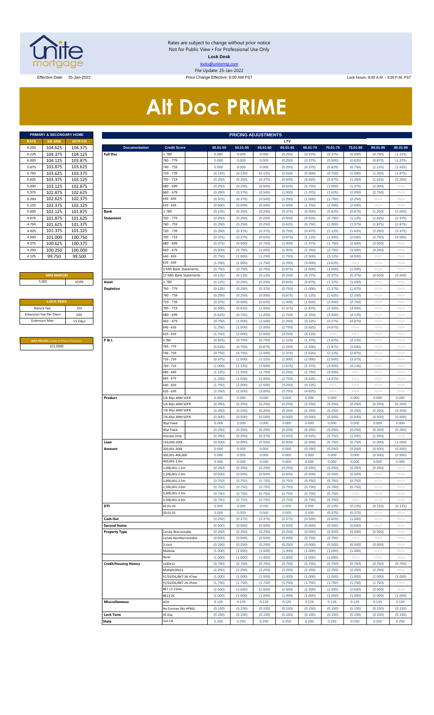

Rates are subject to change without prior notice Not for Public View • For Professional Use Only **Lock Desk** locks@unitemtg.com File Update: 25-Jan-2022

Effective Date: 25-Jan-2022 Price Change Effective: 9:00 AM PST Lock Hours: 9:00 A.M. - 3:00 P.M. PST

# **Alt Doc PRIME**

|             | PRIMARY & SECONDARY HOME |                 |
|-------------|--------------------------|-----------------|
| <b>RATE</b> | <b>5/6 ARM</b>           | <b>30YR FIX</b> |
| 6.250       | 104.625                  | 104.375         |
| 6.125       | 104.375                  | 104.125         |
| 6.000       | 104.125                  | 103.875         |
| 5.875       | 103.875                  | 103.625         |
| 5.750       | 103.625                  | 103.375         |
| 5.625       | 103.375                  | 103.125         |
| 5.500       | 103.125                  | 102.875         |
| 5.375       | 102.875                  | 102.625         |
| 5.250       | 102.625                  | 102 375         |
| 5.125       | 102.375                  | 102 125         |
| 5.000       | 102.125                  | 101.875         |
| 4.875       | 101.875                  | 101.625         |
| 4.750       | 101.625                  | 101.375         |
| 4.625       | 101.375                  | 101.125         |
| 4.500       | 101.000                  | 100.750         |
| 4.375       | 100.625                  | 100.375         |
| 4.250       | 100.250                  | 100.000         |
| 4.125       | 99.750                   | 99.500          |

#### **ARM MARGIN**

| <b>LOCK FEES</b>              |         |
|-------------------------------|---------|
| Relock Fee:                   | 250     |
| <b>Extension Fee Per Diem</b> | .030    |
| <b>Extension Max:</b>         | 15 Days |
|                               |         |

**MAX PRICING** (Lower of Price or Premium) 101.0000

|                       | PRIMARY & SECONDARY HOME                |          | <b>PRICING ADJUSTMENTS</b>    |                        |  |          |          |          |          |          |          |          |          |          |
|-----------------------|-----------------------------------------|----------|-------------------------------|------------------------|--|----------|----------|----------|----------|----------|----------|----------|----------|----------|
| RATE                  | <b>5/6 ARM</b>                          | 30YR FIX |                               |                        |  |          |          |          | LTV      |          |          |          |          |          |
| 6.250                 | 104.625                                 | 104.375  | <b>Documentation</b>          | <b>Credit Score</b>    |  | 00.01-50 | 50.01-55 | 55.01-60 | 60.01-65 | 65.01-70 | 70.01-75 | 75.01-80 | 80.01-85 | 85.01-90 |
| 6.125                 | 104.375                                 | 104.125  | <b>Full Doc</b>               | : 780                  |  | 0.000    | 0.000    | 0.000    | (0.250)  | (0.375)  | (0.375)  | (0.500)  | (0.750)  | (1.125)  |
| 6.000                 | 104.125                                 | 103.875  |                               | 760 - 779              |  | 0.000    | 0.000    | 0.000    | (0.250)  | (0.375)  | (0.500)  | (0.625)  | (0.875)  | (1.375)  |
| 5.875                 | 103.875                                 | 103.625  |                               | 740 - 759              |  | 0.000    | 0.000    | 0.000    | (0.250)  | (0.375)  | (0.625)  | (0.750)  | (1.125)  | (1.625)  |
| 5.750                 | 103.625                                 | 103.375  |                               | 720 - 739              |  | (0.125)  | (0.125)  | (0.125)  | (0.250)  | (0.500)  | (0.750)  | (1.000)  | (1.250)  | (1.875)  |
| 5.625                 | 103.375                                 | 103.125  |                               | 700 - 719              |  | (0.250)  | (0.250)  | (0.375)  | (0.500)  | (0.625)  | (0.875)  | (1.250)  | (1.625)  | (2.250)  |
| 5.500                 | 103.125                                 | 102.875  |                               | 680 - 699              |  | (0.250)  | (0.250)  | (0.500)  | (0.625)  | (0.750)  | (1.000)  | (1.375)  | (2.000)  | #N/A     |
| 5.375                 | 102.875                                 | 102.625  |                               | 660 - 679              |  | (0.250)  | (0.375)  | (0.500)  | (1.000)  | (1.375)  | (1.625)  | (2.000)  | (2.750)  | #N/A     |
| 5.250                 | 102.625                                 | 102.375  |                               | 640 - 659              |  | (0.375)  | (0.375)  | (0.500)  | (1.250)  | (1.500)  | (1.750)  | (2.250)  | #N/A     | #N/A     |
| 5.125                 | 102.375                                 | 102.125  |                               | 620 - 639              |  | (0.500)  | (0.500)  | (0.500)  | (1.500)  | (1.750)  | (2.000)  | (2.500)  | #N/A     | #N/A     |
| 5.000                 | 102.125                                 | 101.875  | Bank                          | : 780                  |  | (0.125)  | (0.250)  | (0.250)  | (0.375)  | (0.500)  | (0.625)  | (0.875)  | (1.250)  | (2.000)  |
| 4.875                 | 101.875                                 | 101.625  | <b>Statement</b>              | 760 - 779              |  | (0.250)  | (0.250)  | (0.250)  | (0.500)  | (0.625)  | (0.750)  | (1.125)  | (1.625)  | (2.375)  |
| 4.750                 | 101.625                                 | 101.375  |                               | 740 - 759              |  | (0.250)  | (0.250)  | (0.250)  | (0.625)  | (0.750)  | (1.000)  | (1.375)  | (1.875)  | (2.875)  |
| 4.625                 | 101.375                                 | 101.125  |                               | 720 - 739              |  | (0.250)  | (0.375)  | (0.375)  | (0.750)  | (0.875)  | (1.125)  | (1.625)  | (2.250)  | (3.375)  |
| 4.500                 | 101.000                                 | 100.750  |                               | 700 - 719              |  | (0.375)  | (0.375)  | (0.625)  | (0.875)  | (1.125)  | (1.500)  | (2.000)  | (2.750)  | (4.000)  |
| 4.375                 | 100.625                                 | 100.375  |                               | 680 - 699              |  | (0.375)  | (0.500)  | (0.750)  | (1.000)  | (1.375)  | (1.750)  | (2.500)  | (3.500)  | #N/A     |
| 4.250                 | 100.250                                 | 100.000  |                               | 660 - 679              |  | (0.500)  | (0.750)  | (1.000)  | (1.500)  | (2.250)  | (2.750)  | (3.500)  | (4.250)  | #N/A     |
| 4.125                 | 99.750                                  | 99.500   |                               | 640 - 659              |  | (0.750)  | (1.000)  | (1.250)  | (1.750)  | (2.500)  | (3.125)  | (4.000)  | #N/A     | #N/A     |
|                       |                                         |          |                               | 620 - 639              |  | (1.250)  | (1.500)  | (1.750)  | (2.250)  | (3.000)  | (3.625)  | #N/A     | #N/A     | #N/A     |
|                       |                                         |          |                               | 3 Mth Bank Statements  |  | (0.750)  | (0.750)  | (0.750)  | (0.875)  | (1.000)  | (1.000)  | (1.000)  | #N/A     | #N/A     |
|                       | <b>ARM MARGIN</b>                       |          |                               | 12 Mth Bank Statements |  | (0.125)  | (0.125)  | (0.125)  | (0.250)  | (0.375)  | (0.375)  | (0.375)  | (0.500)  | (0.500)  |
|                       | 5.000                                   | SOFR     | Asset                         | 2780                   |  | (0.125)  | (0.250)  | (0.250)  | (0.625)  | (0.875)  | (1.125)  | (1.500)  | #N/A     | #N/A     |
|                       |                                         |          | <b>Depletion</b>              | 760 - 779              |  | (0.125)  | (0.250)  | (0.375)  | (0.750)  | (1.000)  | (1.375)  | (1.875)  | #N/A     | #N/A     |
|                       |                                         |          |                               | 740 - 759              |  | (0.250)  | (0.250)  | (0.500)  | (0.875)  | (1.125)  | (1.625)  | (2.250)  | $\#N/A$  | #N/A     |
|                       | <b>LOCK FEES</b>                        |          |                               | 720 - 739              |  | (0.375)  | (0.500)  | (0.625)  | (1.000)  | (1.500)  | (2.000)  | (2.750)  | $\#N/A$  | #N/A     |
|                       | Relock Fee:                             | .250     |                               | 700 - 719              |  | (0.500)  | (0.625)  | (1.000)  | (1.375)  | (1.875)  | (2.500)  | (3.500)  | $\#N/A$  | #N/A     |
|                       | xtension Fee Per Diem                   | .030     |                               | 680 - 699              |  | (0.625)  | (0.750)  | (1.250)  | (1.750)  | (2.250)  | (3.000)  | (4.125)  | # $N/A$  | #N/A     |
| <b>Extension Max:</b> |                                         | 15 Days  |                               | 660 - 679              |  | (0.750)  | (1.000)  | (1.500)  | (2.250)  | (3.125)  | (4.375)  | (4.875)  | $\#N/A$  | #N/A     |
|                       |                                         |          |                               | 640 - 659              |  | (1.250)  | (1.500)  | (2.000)  | (2.750)  | (3.625)  | (4.875)  | #N/A     | $\#N/A$  | #N/A     |
|                       |                                         |          |                               | 620 - 639              |  | (1.750)  | (2.000)  | (2.500)  | (3.250)  | (4.125)  | #N/A     | #N/A     | $\#N/A$  | #N/A     |
|                       | MAX PRICING (Lower of Price or Premium) |          | P&L                           | 2780                   |  | (0.625)  | (0.750)  | (0.750)  | (1.125)  | (1.375)  | (1.625)  | (2.125)  | $\#N/A$  | #N/A     |
|                       | 101.0000                                |          |                               | 760 - 779              |  | (0.625)  | (0.750)  | (0.875)  | (1.250)  | (1.500)  | (1.875)  | (2.500)  | $\#N/A$  | #N/A     |
|                       |                                         |          |                               | 740 - 759              |  | (0.750)  | (0.750)  | (1.000)  | (1.375)  | (1.625)  | (2.125)  | (2.875)  | # $N/A$  | #N/A     |
|                       |                                         |          |                               | 720 - 739              |  | (0.875)  | (1.000)  | (1.125)  | (1.500)  | (2.000)  | (2.500)  | (3.375)  | $\#N/A$  | #N/A     |
|                       |                                         |          |                               | 700 - 719              |  | (1.000)  | (1.125)  | (1.500)  | (1.875)  | (2.375)  | (3.000)  | (4.125)  | $\#N/A$  | #N/A     |
|                       |                                         |          |                               | 680 - 699              |  | (1.125)  | (1.250)  | (1.750)  | (2.250)  | (2.750)  | (3.500)  | #N/A     | $\#N/A$  | #N/A     |
|                       |                                         |          |                               | 660 - 679              |  | (1.250)  | (1.500)  | (2.000)  | (2.750)  | (3.625)  | (4.875)  | #N/A     | $\#N/A$  | #N/A     |
|                       |                                         |          |                               | 640 - 659              |  | (1.750)  | (2.000)  | (2.500)  | (3.250)  | (4.125)  | #N/A     | #N/A     | $\#N/A$  | #N/A     |
|                       |                                         |          |                               | 620 - 639              |  | (2.250)  | (2.500)  | (3.000)  | (3.750)  | (4.625)  | #N/A     | #N/A     | $\#N/A$  | #N/A     |
|                       |                                         |          | Product                       | 5/6 30yr ARM SOFR      |  | 0.000    | 0.000    | 0.000    | 0.000    | 0.000    | 0.000    | 0.000    | 0.000    | 0.000    |
|                       |                                         |          |                               | 5/6 40yr ARM SOFR      |  | (0.250)  | (0.250)  | (0.250)  | (0.250)  | (0.250)  | (0.250)  | (0.250)  | (0.250)  | (0.250)  |
|                       |                                         |          |                               | 7/6 30yr ARM SOFR      |  | (0.250)  | (0.250)  | (0.250)  | (0.250)  | (0.250)  | (0.250)  | (0.250)  | (0.250)  | (0.250)  |
|                       |                                         |          |                               | 7/6 40yr ARM SOFR      |  | (0.500)  | (0.500)  | (0.500)  | (0.500)  | (0.500)  | (0.500)  | (0.500)  | (0.500)  | (0.500)  |
|                       |                                         |          |                               | 30yr Fixed             |  | 0.000    | 0.000    | 0.000    | 0.000    | 0.000    | 0.000    | 0.000    | 0.000    | 0.000    |
|                       |                                         |          |                               | 40yr Fixed             |  | (0.250)  | (0.250)  | (0.250)  | (0.250)  | (0.250)  | (0.250)  | (0.250)  | (0.250)  | (0.250)  |
|                       |                                         |          |                               | nterest-Only           |  | (0.250)  | (0.250)  | (0.375)  | (0.500)  | (0.625)  | (0.750)  | (1.000)  | (1.500)  | #N/A     |
|                       |                                         |          | Loan                          | 150,000-200k           |  | (0.500)  | (0.500)  | (0.500)  | (0.500)  | (0.500)  | (0.750)  | (0.750)  | (1.000)  | (1.000)  |
|                       |                                         |          | Amount                        | 200,001-300k           |  | 0.000    | 0.000    | 0.000    | 0.000    | (0.250)  | (0.250)  | (0.250)  | (0.500)  | (0.500)  |
|                       |                                         |          |                               | 300,001-400,000        |  | 0.000    | 0.000    | 0.000    | 0.000    | 0.000    | 0.000    | 0.000    | (0.500)  | (0.500)  |
|                       |                                         |          |                               | 400,001-1.0m           |  | 0.000    | 0.000    | 0.000    | 0.000    | 0.000    | 0.000    | 0.000    | 0.000    | 0.000    |
|                       |                                         |          |                               | .,000,001-1.5m         |  | (0.250)  | (0.250)  | (0.250)  | (0.250)  | (0.250)  | (0.250)  | (0.250)  | (0.250)  | #N/A     |
|                       |                                         |          |                               | ,500,001-2.0m          |  | (0.500)  | (0.500)  | (0.500)  | (0.500)  | (0.500)  | (0.500)  | (0.500)  | $\#N/A$  | #N/A     |
|                       |                                         |          |                               | ,000,001-2.5m          |  | (0.750)  | (0.750)  | (0.750)  | (0.750)  | (0.750)  | (0.750)  | (0.750)  | # $N/A$  | #N/A     |
|                       |                                         |          |                               | ,500,001-3.0m          |  | (0.750)  | (0.750)  | (0.750)  | (0.750)  | (0.750)  | (0.750)  | (0.750)  | $\#N/A$  | #N/A     |
|                       |                                         |          |                               | 3,000,001-3.5m         |  | (0.750)  | (0.750)  | (0.750)  | (0.750)  | (0.750)  | (0.750)  | #N/A     | # $N/A$  | #N/A     |
|                       |                                         |          |                               | ,500,001-4.0m          |  | (0.750)  | (0.750)  | (0.750)  | (0.750)  | (0.750)  | (0.750)  | #N/A     | $\#N/A$  | #N/A     |
|                       |                                         |          | DTI                           | 43.01-50               |  | 0.000    | 0.000    | 0.000    | 0.000    | 0.000    | (0.125)  | (0.125)  | (0.125)  | (0.125)  |
|                       |                                         |          |                               | 50.01-55               |  | 0.000    | 0.000    | 0.000    | 0.000    | 0.000    | (0.375)  | (0.375)  | $\#N/A$  | #N/A     |
|                       |                                         |          | Cash Out                      |                        |  | (0.250)  | (0.375)  | (0.375)  | (0.375)  | (0.500)  | (0.625)  | (1.000)  | # $N/A$  | #N/A     |
|                       |                                         |          | <b>Second Home</b>            |                        |  | (0.500)  | (0.500)  | (0.500)  | (0.500)  | (0.500)  | (0.500)  | (0.500)  | $\#N/A$  | #N/A     |
|                       |                                         |          |                               |                        |  | (0.250)  | (0.250)  | (0.250)  | (0.250)  | (0.500)  | (0.500)  | (0.500)  | (0.500)  | # $N/A$  |
|                       |                                         |          | <b>Property Type</b>          | Condo-Warrantable      |  |          |          |          |          |          |          |          |          |          |
|                       |                                         |          |                               | Condo-NonWarrantable   |  | (0.500)  | (0.500)  | (0.500)  | (0.500)  | (0.750)  | (0.750)  | #N/A     | $\#N/A$  | #N/A     |
|                       |                                         |          |                               | !-Unit                 |  | (0.250)  | (0.250)  | (0.250)  | (0.250)  | (0.500)  | (0.500)  | (0.500)  | (0.500)  | # $N/A$  |
|                       |                                         |          |                               | Modular                |  | (1.000)  | (1.000)  | (1.000)  | (1.000)  | (1.000)  | (1.000)  | (1.000)  | $\#N/A$  | #N/A     |
|                       |                                         |          |                               | Rural                  |  | (1.000)  | (1.000)  | (1.000)  | (1.000)  | (1.000)  | (1.000)  | #N/A     | #N/A     | #N/A     |
|                       |                                         |          | <b>Credit/Housing History</b> | 1x30x12                |  | (0.750)  | (0.750)  | (0.750)  | (0.750)  | (0.750)  | (0.750)  | (0.750)  | (0.750)  | (0.750)  |
|                       |                                         |          |                               | Multiple30x12          |  | (2.250)  | (2.250)  | (2.250)  | (2.250)  | (2.250)  | (2.250)  | (2.250)  | (2.250)  | #N/A     |
|                       |                                         |          |                               | FC/SS/DIL/BK7 36-47mo  |  | (1.000)  | (1.000)  | (1.000)  | (1.000)  | (1.000)  | (1.000)  | (1.000)  | (1.000)  | (1.000)  |
|                       |                                         |          |                               | FC/SS/DIL/BK7 24-35mo  |  | (1.750)  | (1.750)  | (1.750)  | (1.750)  | (1.750)  | (1.750)  | (1.750)  | (1.750)  | #N/A     |
|                       |                                         |          |                               | BK7 12-23mo            |  | (2.500)  | (2.500)  | (2.500)  | (2.500)  | (2.500)  | (2.500)  | (2.500)  | (2.500)  | #N/A     |
|                       |                                         |          |                               | BK13DC                 |  | (1.000)  | (1.000)  | (1.000)  | (1.000)  | (1.000)  | (1.000)  | (1.000)  | (1.000)  | (1.000)  |
|                       |                                         |          | <b>Misccellaneous</b>         | ACH                    |  | 0.125    | 0.125    | 0.125    | 0.125    | 0.125    | 0.125    | 0.125    | 0.125    | 0.125    |
|                       |                                         |          |                               | No Escrows (No HPML)   |  | (0.150)  | (0.150)  | (0.150)  | (0.150)  | (0.150)  | (0.150)  | (0.150)  | (0.150)  | (0.150)  |
|                       |                                         |          | <b>Lock Term</b>              | 45 Day                 |  | (0.150)  | (0.150)  | (0.150)  | (0.150)  | (0.150)  | (0.150)  | (0.150)  | (0.150)  | (0.150)  |
|                       |                                         |          | <b>State</b>                  | non CA                 |  | 0.250    | 0.250    | 0.250    | 0.250    | 0.250    | 0.250    | 0.250    | 0.250    | 0.250    |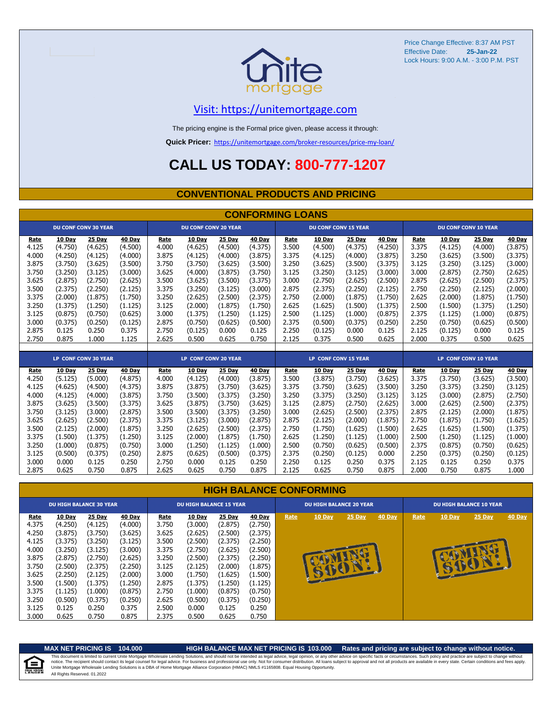

#### [V](https://unitemortgage.com/)isit: https://unitemortgage.com

The pricing engine is the Formal price given, please access it through:

**Quick Pricer:** [https://un](https://unitemortgage.com/broker-resources/price-my-loan/)itemortgage.com/broker-resources/price-my-loan/

### **CALL US TODAY: 800-777-1207**

#### **CONVENTIONAL PRODUCTS AND PRICING**

|       | <b>CONFORMING LOANS</b> |                             |         |                      |                             |         |         |                      |                             |               |         |       |         |                             |               |
|-------|-------------------------|-----------------------------|---------|----------------------|-----------------------------|---------|---------|----------------------|-----------------------------|---------------|---------|-------|---------|-----------------------------|---------------|
|       |                         | <b>DU CONF CONV 30 YEAR</b> |         |                      | <b>DU CONF CONV 20 YEAR</b> |         |         |                      | <b>DU CONF CONV 15 YEAR</b> |               |         |       |         | <b>DU CONF CONV 10 YEAR</b> |               |
| Rate  | 10 Day                  | 25 Day                      | 40 Day  | Rate                 | 10 Day                      | 25 Day  | 40 Day  | Rate                 | 10 Day                      | 25 Day        | 40 Day  | Rate  | 10 Day  | 25 Day                      | 40 Day        |
| 4.125 | (4.750)                 | (4.625)                     | (4.500) | 4.000                | (4.625)                     | (4.500) | (4.375) | 3.500                | (4.500)                     | (4.375)       | (4.250) | 3.375 | (4.125) | (4.000)                     | (3.875)       |
| 4.000 | (4.250)                 | (4.125)                     | (4.000) | 3.875                | (4.125)                     | (4.000) | (3.875) | 3.375                | (4.125)                     | (4.000)       | (3.875) | 3.250 | (3.625) | (3.500)                     | (3.375)       |
| 3.875 | (3.750)                 | (3.625)                     | (3.500) | 3.750                | (3.750)                     | (3.625) | (3.500) | 3.250                | (3.625)                     | (3.500)       | (3.375) | 3.125 | (3.250) | (3.125)                     | (3.000)       |
| 3.750 | (3.250)                 | (3.125)                     | (3.000) | 3.625                | (4.000)                     | (3.875) | (3.750) | 3.125                | (3.250)                     | (3.125)       | (3.000) | 3.000 | (2.875) | (2.750)                     | (2.625)       |
| 3.625 | (2.875)                 | (2.750)                     | (2.625) | 3.500                | (3.625)                     | (3.500) | (3.375) | 3.000                | (2.750)                     | (2.625)       | (2.500) | 2.875 | (2.625) | (2.500)                     | (2.375)       |
| 3.500 | (2.375)                 | (2.250)                     | (2.125) | 3.375                | (3.250)                     | (3.125) | (3.000) | 2.875                | (2.375)                     | (2.250)       | (2.125) | 2.750 | (2.250) | (2.125)                     | (2.000)       |
| 3.375 | (2.000)                 | (1.875)                     | (1.750) | 3.250                | (2.625)                     | (2.500) | (2.375) | 2.750                | (2.000)                     | (1.875)       | (1.750) | 2.625 | (2.000) | (1.875)                     | (1.750)       |
| 3.250 | (1.375)                 | (1.250)                     | (1.125) | 3.125                | (2.000)                     | (1.875) | (1.750) | 2.625                | (1.625)                     | (1.500)       | (1.375) | 2.500 | (1.500) | (1.375)                     | (1.250)       |
| 3.125 | (0.875)                 | (0.750)                     | (0.625) | 3.000                | (1.375)                     | (1.250) | (1.125) | 2.500                | (1.125)                     | (1.000)       | (0.875) | 2.375 | (1.125) | (1.000)                     | (0.875)       |
| 3.000 | (0.375)                 | (0.250)                     | (0.125) | 2.875                | (0.750)                     | (0.625) | (0.500) | 2.375                | (0.500)                     | (0.375)       | (0.250) | 2.250 | (0.750) | (0.625)                     | (0.500)       |
| 2.875 | 0.125                   | 0.250                       | 0.375   | 2.750                | (0.125)                     | 0.000   | 0.125   | 2.250                | (0.125)                     | 0.000         | 0.125   | 2.125 | (0.125) | 0.000                       | 0.125         |
| 2.750 | 0.875                   | 1.000                       | 1.125   | 2.625                | 0.500                       | 0.625   | 0.750   | 2.125                | 0.375                       | 0.500         | 0.625   | 2.000 | 0.375   | 0.500                       | 0.625         |
|       |                         |                             |         |                      |                             |         |         |                      |                             |               |         |       |         |                             |               |
|       |                         | LP CONF CONV 30 YEAR        |         | LP CONF CONV 20 YEAR |                             |         |         | LP CONF CONV 15 YEAR |                             |               |         |       |         | <b>LP CONF CONV 10 YEAR</b> |               |
| Rate  | 10 Day                  | 25 Day                      | 40 Day  | Rate                 | 10 Day                      | 25 Day  | 40 Day  | Rate                 | 10 Day                      | <b>25 Day</b> | 40 Day  | Rate  | 10 Day  | 25 Day                      | <b>40 Day</b> |
| 4.250 | (5.125)                 | (5.000)                     | (4.875) | 4.000                | (4.125)                     | (4.000) | (3.875) | 3.500                | (3.875)                     | (3.750)       | (3.625) | 3.375 | (3.750) | (3.625)                     | (3.500)       |
| 4.125 | (4.625)                 | (4.500)                     | (4.375) | 3.875                | (3.875)                     | (3.750) | (3.625) | 3.375                | (3.750)                     | (3.625)       | (3.500) | 3.250 | (3.375) | (3.250)                     | (3.125)       |
| 4.000 | (4.125)                 | (4.000)                     | (3.875) | 3.750                | (3.500)                     | (3.375) | (3.250) | 3.250                | (3.375)                     | (3.250)       | (3.125) | 3.125 | (3.000) | (2.875)                     | (2.750)       |
| 3.875 | (3.625)                 | (3.500)                     | (3.375) | 3.625                | (3.875)                     | (3.750) | (3.625) | 3.125                | (2.875)                     | (2.750)       | (2.625) | 3.000 | (2.625) | (2.500)                     | (2.375)       |
| 3.750 | (3.125)                 | (3.000)                     | (2.875) | 3.500                | (3.500)                     | (3.375) | (3.250) | 3.000                | (2.625)                     | (2.500)       | (2.375) | 2.875 | (2.125) | (2.000)                     | (1.875)       |
| 3.625 | (2.625)                 | (2.500)                     | (2.375) | 3.375                | (3.125)                     | (3.000) | (2.875) | 2.875                | (2.125)                     | (2.000)       | (1.875) | 2.750 | (1.875) | (1.750)                     | (1.625)       |
| 3.500 | (2.125)                 | (2.000)                     | (1.875) | 3.250                | (2.625)                     | (2.500) | (2.375) | 2.750                | (1.750)                     | (1.625)       | (1.500) | 2.625 | (1.625) | (1.500)                     | (1.375)       |
| 3.375 | (1.500)                 | (1.375)                     | (1.250) | 3.125                | (2.000)                     | (1.875) | (1.750) | 2.625                | (1.250)                     | (1.125)       | (1.000) | 2.500 | (1.250) | (1.125)                     | (1.000)       |
| 3.250 | (1.000)                 | (0.875)                     | (0.750) | 3.000                | (1.250)                     | (1.125) | (1.000) | 2.500                | (0.750)                     | (0.625)       | (0.500) | 2.375 | (0.875) | (0.750)                     | (0.625)       |
| 3.125 | (0.500)                 | (0.375)                     | (0.250) | 2.875                | (0.625)                     | (0.500) | (0.375) | 2.375                | (0.250)                     | (0.125)       | 0.000   | 2.250 | (0.375) | (0.250)                     | (0.125)       |
| 3.000 | 0.000                   | 0.125                       | 0.250   | 2.750                | 0.000                       | 0.125   | 0.250   | 2.250                | 0.125                       | 0.250         | 0.375   | 2.125 | 0.125   | 0.250                       | 0.375         |
| 2.875 | 0.625                   | 0.750                       | 0.875   | 2.625                | 0.625                       | 0.750   | 0.875   | 2.125                | 0.625                       | 0.750         | 0.875   | 2.000 | 0.750   | 0.875                       | 1.000         |

#### **HIGH BALANCE CONFORMING**

|             | <b>DU HIGH BALANCE 30 YEAR</b> |               |         |       | <b>DU HIGH BALANCE 15 YEAR</b> |         |               |      | <b>DU HIGH BALANCE 20 YEAR</b> |          |        | <b>DU HIGH BALANCE 10 YEAR</b> |               |          |               |  |
|-------------|--------------------------------|---------------|---------|-------|--------------------------------|---------|---------------|------|--------------------------------|----------|--------|--------------------------------|---------------|----------|---------------|--|
| <u>Rate</u> | <b>10 Day</b>                  | <b>25 Day</b> | 40 Day  | Rate  | <b>10 Day</b>                  | 25 Day  | <b>40 Day</b> | Rate | 10 Day                         | $25$ Day | 40 Day | Rate                           | <b>10 Day</b> | $25$ Day | <b>40 Day</b> |  |
| 4.375       | (4.250)                        | (4.125)       | (4.000) | 3.750 | (3.000)                        | (2.875) | (2.750)       |      |                                |          |        |                                |               |          |               |  |
| 4.250       | (3.875)                        | (3.750)       | (3.625) | 3.625 | (2.625)                        | (2.500) | (2.375)       |      |                                |          |        |                                |               |          |               |  |
| 4.125       | (3.375)                        | (3.250)       | (3.125) | 3.500 | (2.500)                        | (2.375) | (2.250)       |      |                                |          |        |                                |               |          |               |  |
| 4.000       | (3.250)                        | (3.125)       | (3.000) | 3.375 | (2.750)                        | (2.625) | (2.500)       |      |                                |          |        |                                |               |          |               |  |
| 3.875       | (2.875)                        | (2.750)       | (2.625) | 3.250 | (2.500)                        | (2.375) | (2.250)       |      |                                |          |        |                                |               |          |               |  |
| 3.750       | (2.500)                        | (2.375)       | (2.250) | 3.125 | (2.125)                        | (2.000) | (1.875)       |      |                                |          |        |                                |               | BA       |               |  |
| 3.625       | (2.250)                        | (2.125)       | (2.000) | 3.000 | (1.750)                        | (1.625) | (1.500)       |      | <b>RUEL</b>                    |          |        |                                |               |          |               |  |
| 3.500       | (1.500)                        | (1.375)       | (1.250) | 2.875 | (1.375)                        | (1.250) | (1.125)       |      |                                |          |        |                                |               |          |               |  |
| 3.375       | (1.125)                        | (1.000)       | (0.875) | 2.750 | (1.000)                        | (0.875) | (0.750)       |      |                                |          |        |                                |               |          |               |  |
| 3.250       | (0.500)                        | (0.375)       | (0.250) | 2.625 | (0.500)                        | (0.375) | (0.250)       |      |                                |          |        |                                |               |          |               |  |
| 3.125       | 0.125                          | 0.250         | 0.375   | 2.500 | 0.000                          | 0.125   | 0.250         |      |                                |          |        |                                |               |          |               |  |
| 3.000       | 0.625                          | 0.750         | 0.875   | 2.375 | 0.500                          | 0.625   | 0.750         |      |                                |          |        |                                |               |          |               |  |

自

#### **MAX NET PRICING IS 104.000 HIGH BALANCE MAX NET PRICING IS 103.000 Rates and pricing are subject to change without notice.**

All Rights Reserved. 01.2022 This document is limited to current Unite Mortgage Wholesale Lending Solutions, and should not be intended as legal advice, legal opinion, or any other advice on specific facts or circumstances. Such policy and practice ar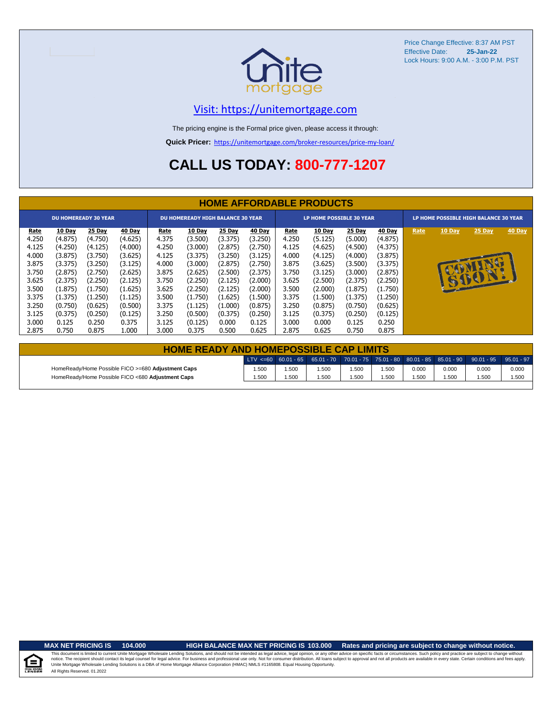

#### [V](https://unitemortgage.com/)isit: https://unitemortgage.com

The pricing engine is the Formal price given, please access it through:

**Quick Pricer:** [https://un](https://unitemortgage.com/broker-resources/price-my-loan/)itemortgage.com/broker-resources/price-my-loan/

### **CALL US TODAY: 800-777-1207**

|                                                                     | <b>HOME AFFORDABLE PRODUCTS</b>                                                     |                                                                                     |                                                                                     |                                                                     |                                                                                     |                                                                                     |                                                                                     |                                                                     |                                                                                     |                                                                                     |                                                                                     |                                       |             |                 |        |
|---------------------------------------------------------------------|-------------------------------------------------------------------------------------|-------------------------------------------------------------------------------------|-------------------------------------------------------------------------------------|---------------------------------------------------------------------|-------------------------------------------------------------------------------------|-------------------------------------------------------------------------------------|-------------------------------------------------------------------------------------|---------------------------------------------------------------------|-------------------------------------------------------------------------------------|-------------------------------------------------------------------------------------|-------------------------------------------------------------------------------------|---------------------------------------|-------------|-----------------|--------|
|                                                                     |                                                                                     | <b>DU HOMEREADY 30 YEAR</b>                                                         |                                                                                     | <b>DU HOMEREADY HIGH BALANCE 30 YEAR</b>                            |                                                                                     |                                                                                     |                                                                                     |                                                                     | LP HOME POSSIBLE 30 YEAR                                                            |                                                                                     |                                                                                     | LP HOME POSSIBLE HIGH BALANCE 30 YEAR |             |                 |        |
| Rate<br>4.250<br>4.125<br>4.000<br>3.875<br>3.750<br>3.625<br>3.500 | 10 Day<br>(4.875)<br>(4.250)<br>(3.875)<br>(3.375)<br>(2.875)<br>(2.375)<br>(1.875) | 25 Day<br>(4.750)<br>(4.125)<br>(3.750)<br>(3.250)<br>(2.750)<br>(2.250)<br>(1.750) | 40 Day<br>(4.625)<br>(4.000)<br>(3.625)<br>(3.125)<br>(2.625)<br>(2.125)<br>(1.625) | Rate<br>4.375<br>4.250<br>4.125<br>4.000<br>3.875<br>3.750<br>3.625 | 10 Day<br>(3.500)<br>(3.000)<br>(3.375)<br>(3.000)<br>(2.625)<br>(2.250)<br>(2.250) | 25 Day<br>(3.375)<br>(2.875)<br>(3.250)<br>(2.875)<br>(2.500)<br>(2.125)<br>(2.125) | 40 Day<br>(3.250)<br>(2.750)<br>(3.125)<br>(2.750)<br>(2.375)<br>(2.000)<br>(2.000) | Rate<br>4.250<br>4.125<br>4.000<br>3.875<br>3.750<br>3.625<br>3.500 | 10 Day<br>(5.125)<br>(4.625)<br>(4.125)<br>(3.625)<br>(3.125)<br>(2.500)<br>(2.000) | 25 Day<br>(5.000)<br>(4.500)<br>(4.000)<br>(3.500)<br>(3.000)<br>(2.375)<br>(1.875) | 40 Day<br>(4.875)<br>(4.375)<br>(3.875)<br>(3.375)<br>(2.875)<br>(2.250)<br>(1.750) | Rate                                  | 10 Day<br>u | 25 Day<br>15001 | 40 Day |
| 3.375<br>3.250<br>3.125<br>3.000<br>2.875                           | (1.375)<br>(0.750)<br>(0.375)<br>0.125<br>0.750                                     | (1.250)<br>(0.625)<br>(0.250)<br>0.250<br>0.875                                     | (1.125)<br>(0.500)<br>(0.125)<br>0.375<br>1.000                                     | 3.500<br>3.375<br>3.250<br>3.125<br>3.000                           | (1.750)<br>(1.125)<br>(0.500)<br>(0.125)<br>0.375                                   | (1.625)<br>(1.000)<br>(0.375)<br>0.000<br>0.500                                     | (1.500)<br>(0.875)<br>(0.250)<br>0.125<br>0.625                                     | 3.375<br>3.250<br>3.125<br>3.000<br>2.875                           | (1.500)<br>(0.875)<br>(0.375)<br>0.000<br>0.625                                     | (1.375)<br>(0.750)<br>(0.250)<br>0.125<br>0.750                                     | (1.250)<br>(0.625)<br>(0.125)<br>0.250<br>0.875                                     |                                       |             |                 |        |

| <b>HOME READY AND HOMEPOSSIBLE CAP LIMITS</b>      |       |      |      |      |      |       |       |                                                                                                  |       |  |  |  |
|----------------------------------------------------|-------|------|------|------|------|-------|-------|--------------------------------------------------------------------------------------------------|-------|--|--|--|
|                                                    |       |      |      |      |      |       |       | LTV <=60 60.01 - 65 65.01 - 70 70.01 - 75 75.01 - 80 80.01 - 85 85.01 - 90 90.01 - 95 95.01 - 97 |       |  |  |  |
| HomeReady/Home Possible FICO >=680 Adjustment Caps | .500  | .500 | .500 | .500 | .500 | 0.000 | 0.000 | 0.000                                                                                            | 0.000 |  |  |  |
| HomeReady/Home Possible FICO <680 Adjustment Caps  | 1.500 | .500 | .500 | .500 | .500 | .500  | 1.500 | .500                                                                                             | 1.500 |  |  |  |

u Hou

#### **MAX NET PRICING IS 104.000 HIGH BALANCE MAX NET PRICING IS 103.000 Rates and pricing are subject to change without notice.**

All Rights Reserved. 01.2022 This document is limited to current Unite Mortgage Wholesale Lending Solutions, and should not be intended as legal advice, legal opinion, or any other advice on specific facts or circumstances. Such policy and practice ar notice. The recipient should contact its legal coursel for legal advice. For business and professional use only. Not for consumer distribution. All oans subject to approval and not all products are available in every state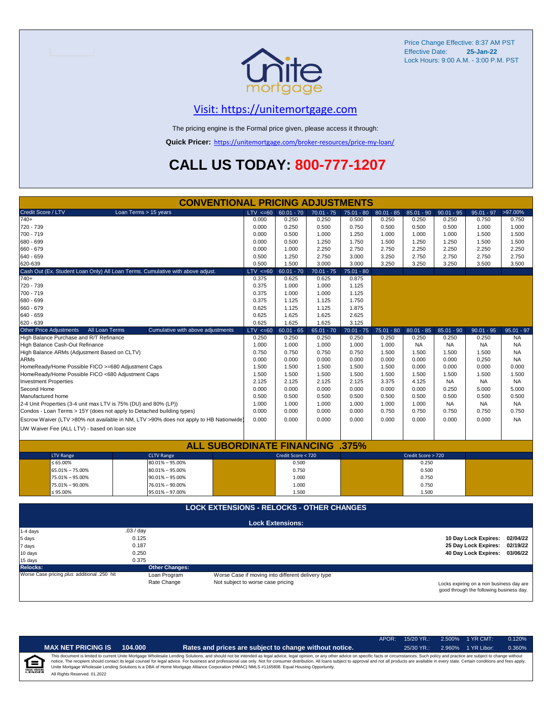

#### [V](https://unitemortgage.com/)isit: https://unitemortgage.com

The pricing engine is the Formal price given, please access it through:

**Quick Pricer:** [https://un](https://unitemortgage.com/broker-resources/price-my-loan/)itemortgage.com/broker-resources/price-my-loan/

### **CALL US TODAY: 800-777-1207**

| <b>CONVENTIONAL PRICING ADJUSTMENTS</b>                                                |                                                                               |                                                   |                         |              |              |              |                    |                               |                               |              |  |
|----------------------------------------------------------------------------------------|-------------------------------------------------------------------------------|---------------------------------------------------|-------------------------|--------------|--------------|--------------|--------------------|-------------------------------|-------------------------------|--------------|--|
| Credit Score / LTV                                                                     | Loan Terms > 15 years                                                         | $LTV \le 60$                                      | $60.01 - 70$            | $70.01 - 75$ | $75.01 - 80$ | $80.01 - 85$ | $85.01 - 90$       | $90.01 - 95$                  | $95.01 - 97$                  | >97.00%      |  |
| $740+$                                                                                 |                                                                               | 0.000                                             | 0.250                   | 0.250        | 0.500        | 0.250        | 0.250              | 0.250                         | 0.750                         | 0.750        |  |
| 720 - 739                                                                              |                                                                               | 0.000                                             | 0.250                   | 0.500        | 0.750        | 0.500        | 0.500              | 0.500                         | 1.000                         | 1.000        |  |
| 700 - 719                                                                              |                                                                               | 0.000                                             | 0.500                   | 1.000        | 1.250        | 1.000        | 1.000              | 1.000                         | 1.500                         | 1.500        |  |
| 680 - 699                                                                              |                                                                               | 0.000                                             | 0.500                   | 1.250        | 1.750        | 1.500        | 1.250              | 1.250                         | 1.500                         | 1.500        |  |
| 660 - 679                                                                              |                                                                               | 0.000                                             | 1.000                   | 2.250        | 2.750        | 2.750        | 2.250              | 2.250                         | 2.250                         | 2.250        |  |
| 640 - 659                                                                              |                                                                               | 0.500                                             | 1.250                   | 2.750        | 3.000        | 3.250        | 2.750              | 2.750                         | 2.750                         | 2.750        |  |
| 620-639                                                                                |                                                                               | 0.500                                             | 1.500                   | 3.000        | 3.000        | 3.250        | 3.250              | 3.250                         | 3.500                         | 3.500        |  |
| Cash Out (Ex. Student Loan Only) All Loan Terms. Cumulative with above adjust.         |                                                                               | $LTV \le 60$                                      | $60.01 - 70$            | $70.01 - 75$ | $75.01 - 80$ |              |                    |                               |                               |              |  |
| $740+$                                                                                 |                                                                               | 0.375                                             | 0.625                   | 0.625        | 0.875        |              |                    |                               |                               |              |  |
| 720 - 739                                                                              |                                                                               | 0.375                                             | 1.000                   | 1.000        | 1.125        |              |                    |                               |                               |              |  |
| 700 - 719                                                                              |                                                                               | 0.375                                             | 1.000                   | 1.000        | 1.125        |              |                    |                               |                               |              |  |
| 680 - 699                                                                              |                                                                               | 0.375                                             | 1.125                   | 1.125        | 1.750        |              |                    |                               |                               |              |  |
| 660 - 679                                                                              |                                                                               | 0.625                                             | 1.125                   | 1.125        | 1.875        |              |                    |                               |                               |              |  |
| 640 - 659                                                                              |                                                                               | 0.625                                             | 1.625                   | 1.625        | 2.625        |              |                    |                               |                               |              |  |
| 620 - 639                                                                              |                                                                               | 0.625                                             | 1.625                   | 1.625        | 3.125        |              |                    |                               |                               |              |  |
| <b>Other Price Adjustments</b><br>All Loan Terms                                       | Cumulative with above adjustments                                             | $LTV < =60$                                       | $60.01 - 65$            | $65.01 - 70$ | $70.01 - 75$ | $75.01 - 80$ | $80.01 - 85$       | $85.01 - 90$                  | $90.01 - 95$                  | $95.01 - 97$ |  |
| High Balance Purchase and R/T Refinance                                                |                                                                               | 0.250                                             | 0.250                   | 0.250        | 0.250        | 0.250        | 0.250              | 0.250                         | 0.250                         | <b>NA</b>    |  |
| High Balance Cash-Out Refinance                                                        |                                                                               | 1.000                                             | 1.000                   | 1.000        | 1.000        | 1.000        | <b>NA</b>          | <b>NA</b>                     | <b>NA</b>                     | <b>NA</b>    |  |
| High Balance ARMs (Adjustment Based on CLTV)                                           |                                                                               | 0.750                                             | 0.750                   | 0.750        | 0.750        | 1.500        | 1.500              | 1.500                         | 1.500                         | <b>NA</b>    |  |
| <b>ARMs</b>                                                                            |                                                                               | 0.000                                             | 0.000                   | 0.000        | 0.000        | 0.000        | 0.000              | 0.000                         | 0.250                         | <b>NA</b>    |  |
| HomeReady/Home Possible FICO >=680 Adjustment Caps                                     |                                                                               | 1.500                                             | 1.500                   | 1.500        | 1.500        | 1.500        | 0.000              | 0.000                         | 0.000                         | 0.000        |  |
| HomeReady/Home Possible FICO <680 Adjustment Caps                                      |                                                                               | 1.500                                             | 1.500                   | 1.500        | 1.500        | 1.500        | 1.500              | 1.500                         | 1.500                         | 1.500        |  |
| <b>Investment Properties</b>                                                           |                                                                               | 2.125                                             | 2.125                   | 2.125        | 2.125        | 3.375        | 4.125              | <b>NA</b>                     | <b>NA</b>                     | <b>NA</b>    |  |
| Second Home                                                                            |                                                                               | 0.000                                             | 0.000                   | 0.000        | 0.000        | 0.000        | 0.000              | 0.250                         | 5.000                         | 5.000        |  |
| Manufactured home                                                                      |                                                                               | 0.500                                             | 0.500                   | 0.500        | 0.500        | 0.500        | 0.500              | 0.500                         | 0.500                         | 0.500        |  |
| 2-4 Unit Properties (3-4 unit max LTV is 75% (DU) and 80% (LP))                        |                                                                               | 1.000                                             | 1.000                   | 1.000        | 1.000        | 1.000        | 1.000              | <b>NA</b>                     | <b>NA</b>                     | <b>NA</b>    |  |
| Condos - Loan Terms > 15Y (does not apply to Detached building types)                  |                                                                               | 0.000                                             | 0.000                   | 0.000        | 0.000        | 0.750        | 0.750              | 0.750                         | 0.750                         | 0.750        |  |
| Escrow Waiver (LTV >80% not available in NM, LTV >90% does not apply to HB Nationwide) |                                                                               | 0.000                                             | 0.000                   | 0.000        | 0.000        | 0.000        | 0.000              | 0.000                         | 0.000                         | <b>NA</b>    |  |
|                                                                                        |                                                                               |                                                   |                         |              |              |              |                    |                               |                               |              |  |
| UW Waiver Fee (ALL LTV) - based on loan size                                           |                                                                               |                                                   |                         |              |              |              |                    |                               |                               |              |  |
|                                                                                        |                                                                               |                                                   |                         |              |              |              |                    |                               |                               |              |  |
|                                                                                        | <b>ALL SUBORDINATE FINANCING .375%</b>                                        |                                                   |                         |              |              |              |                    |                               |                               |              |  |
| <b>LTV Range</b>                                                                       | <b>CLTV Range</b>                                                             |                                                   | Credit Score < 720      |              |              |              | Credit Score > 720 |                               |                               |              |  |
| $\leq 65.00\%$                                                                         | $80.01\% - 95.00\%$                                                           |                                                   | 0.500                   |              |              |              | 0.250              |                               |                               |              |  |
| 65.01% - 75.00%                                                                        | $80.01\% - 95.00\%$                                                           |                                                   | 0.750                   |              |              |              | 0.500              |                               |                               |              |  |
| 75.01% - 95.00%                                                                        | $90.01\% - 95.00\%$                                                           |                                                   | 1.000                   |              |              |              | 0.750              |                               |                               |              |  |
| 75.01% - 90.00%                                                                        | 76.01% - 90.00%                                                               |                                                   | 1.000                   |              |              |              | 0.750              |                               |                               |              |  |
| $\leq 95.00\%$                                                                         | 95.01% - 97.00%                                                               |                                                   | 1.500                   |              |              |              | 1.500              |                               |                               |              |  |
|                                                                                        |                                                                               |                                                   |                         |              |              |              |                    |                               |                               |              |  |
|                                                                                        | <b>LOCK EXTENSIONS - RELOCKS - OTHER CHANGES</b>                              |                                                   |                         |              |              |              |                    |                               |                               |              |  |
|                                                                                        |                                                                               |                                                   |                         |              |              |              |                    |                               |                               |              |  |
|                                                                                        |                                                                               |                                                   | <b>Lock Extensions:</b> |              |              |              |                    |                               |                               |              |  |
| $1-4$ days                                                                             | .03/day                                                                       |                                                   |                         |              |              |              |                    |                               |                               |              |  |
| 5 days                                                                                 |                                                                               |                                                   |                         |              |              |              |                    | 10 Day Lock Expires: 02/04/22 |                               |              |  |
| 7 days                                                                                 |                                                                               |                                                   |                         |              |              |              |                    | 25 Day Lock Expires:          | 02/19/22                      |              |  |
| 10 days                                                                                | 0.250                                                                         |                                                   |                         |              |              |              |                    |                               | 40 Day Lock Expires: 03/06/22 |              |  |
| 15 days                                                                                | 0.375                                                                         |                                                   |                         |              |              |              |                    |                               |                               |              |  |
| <b>Relocks:</b>                                                                        | <b>Other Changes:</b>                                                         |                                                   |                         |              |              |              |                    |                               |                               |              |  |
| Worse Case pricing plus additional .250 hit                                            | Loan Program                                                                  | Worse Case if moving into different delivery type |                         |              |              |              |                    |                               |                               |              |  |
|                                                                                        | Not subject to worse case pricing<br>Locks expiring on a non business day are |                                                   |                         |              |              |              |                    |                               |                               |              |  |

Locks expiring on a non business day are good through the following business day.

|                           |                              |         |                                                                                                                                                                                                                                                                                                                                                                                                                                                                                                                                                                                                                | $APOR+$ | $15/20$ YR.: | 2.500% | 1 YR CMT:   | 0.120% |
|---------------------------|------------------------------|---------|----------------------------------------------------------------------------------------------------------------------------------------------------------------------------------------------------------------------------------------------------------------------------------------------------------------------------------------------------------------------------------------------------------------------------------------------------------------------------------------------------------------------------------------------------------------------------------------------------------------|---------|--------------|--------|-------------|--------|
|                           | <b>MAX NET PRICING IS</b>    | 104.000 | Rates and prices are subject to change without notice.                                                                                                                                                                                                                                                                                                                                                                                                                                                                                                                                                         |         | $25/30$ YR.: | 2.960% | 1 YR Libor: | 0.360% |
| 仺<br><b>EQUAL HOUSING</b> | All Rights Reserved, 01,2022 |         | This document is limited to current Unite Mortgage Wholesale Lending Solutions, and should not be intended as legal advice, legal opinion, or any other advice on specific facts or circumstances. Such policy and practice ar<br>notice. The recipient should contact its legal counsel for legal advice. For business and professional use only. Not for consumer distribution. All loans subject to approval and not all products are available in every stat<br>Unite Mortgage Wholesale Lending Solutions is a DBA of Home Mortgage Alliance Corporation (HMAC) NMLS #1165808. Equal Housing Opportunity. |         |              |        |             |        |